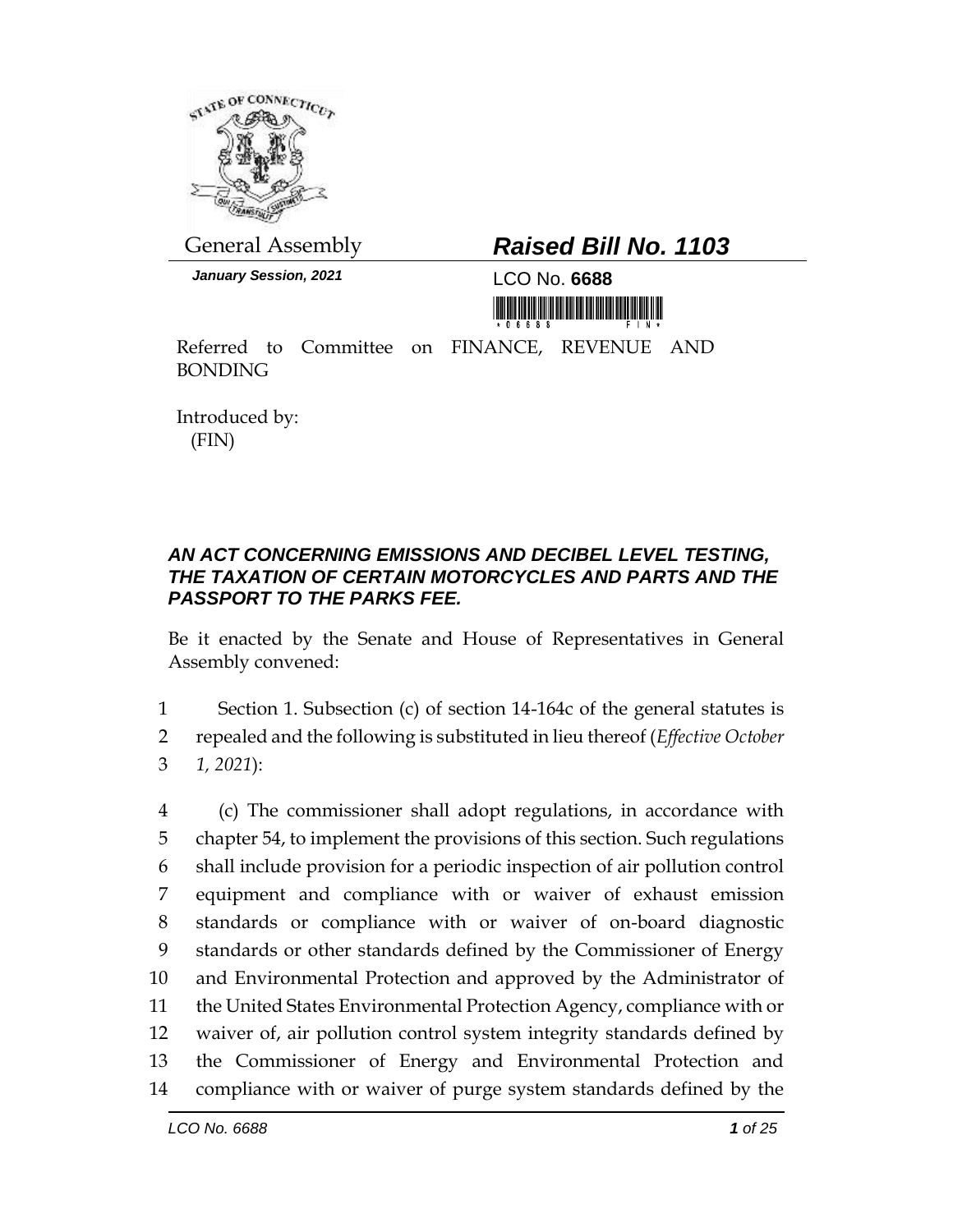

*January Session, 2021* LCO No. **6688**

## General Assembly *Raised Bill No. 1103*

<u>ni kokumumumi alimi</u>

Referred to Committee on FINANCE, REVENUE AND BONDING

Introduced by: (FIN)

## *AN ACT CONCERNING EMISSIONS AND DECIBEL LEVEL TESTING, THE TAXATION OF CERTAIN MOTORCYCLES AND PARTS AND THE PASSPORT TO THE PARKS FEE.*

Be it enacted by the Senate and House of Representatives in General Assembly convened:

1 Section 1. Subsection (c) of section 14-164c of the general statutes is 2 repealed and the following is substituted in lieu thereof (*Effective October*  3 *1, 2021*):

 (c) The commissioner shall adopt regulations, in accordance with chapter 54, to implement the provisions of this section. Such regulations shall include provision for a periodic inspection of air pollution control equipment and compliance with or waiver of exhaust emission standards or compliance with or waiver of on-board diagnostic standards or other standards defined by the Commissioner of Energy and Environmental Protection and approved by the Administrator of the United States Environmental Protection Agency, compliance with or waiver of, air pollution control system integrity standards defined by the Commissioner of Energy and Environmental Protection and compliance with or waiver of purge system standards defined by the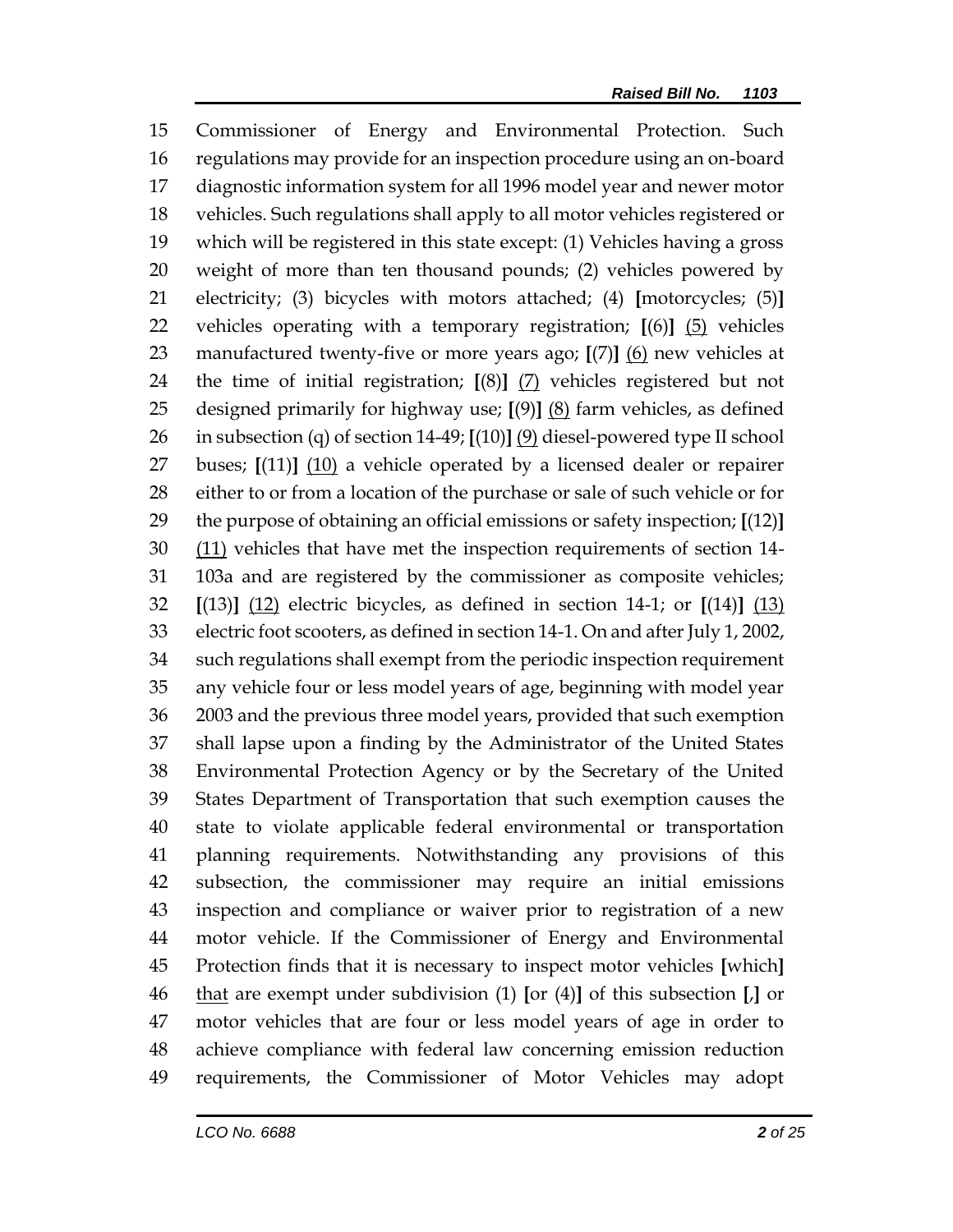Commissioner of Energy and Environmental Protection. Such regulations may provide for an inspection procedure using an on-board diagnostic information system for all 1996 model year and newer motor vehicles. Such regulations shall apply to all motor vehicles registered or which will be registered in this state except: (1) Vehicles having a gross weight of more than ten thousand pounds; (2) vehicles powered by electricity; (3) bicycles with motors attached; (4) **[**motorcycles; (5)**]** vehicles operating with a temporary registration; **[**(6)**]** (5) vehicles manufactured twenty-five or more years ago; **[**(7)**]** (6) new vehicles at the time of initial registration; **[**(8)**]** (7) vehicles registered but not designed primarily for highway use; **[**(9)**]** (8) farm vehicles, as defined in subsection (q) of section 14-49; **[**(10)**]** (9) diesel-powered type II school buses; **[**(11)**]** (10) a vehicle operated by a licensed dealer or repairer either to or from a location of the purchase or sale of such vehicle or for the purpose of obtaining an official emissions or safety inspection; **[**(12)**]** (11) vehicles that have met the inspection requirements of section 14- 103a and are registered by the commissioner as composite vehicles; **[**(13)**]** (12) electric bicycles, as defined in section 14-1; or **[**(14)**]** (13) electric foot scooters, as defined in section 14-1. On and after July 1, 2002, such regulations shall exempt from the periodic inspection requirement any vehicle four or less model years of age, beginning with model year 2003 and the previous three model years, provided that such exemption shall lapse upon a finding by the Administrator of the United States Environmental Protection Agency or by the Secretary of the United States Department of Transportation that such exemption causes the state to violate applicable federal environmental or transportation planning requirements. Notwithstanding any provisions of this subsection, the commissioner may require an initial emissions inspection and compliance or waiver prior to registration of a new motor vehicle. If the Commissioner of Energy and Environmental Protection finds that it is necessary to inspect motor vehicles **[**which**]** that are exempt under subdivision (1) **[**or (4)**]** of this subsection **[**,**]** or motor vehicles that are four or less model years of age in order to achieve compliance with federal law concerning emission reduction requirements, the Commissioner of Motor Vehicles may adopt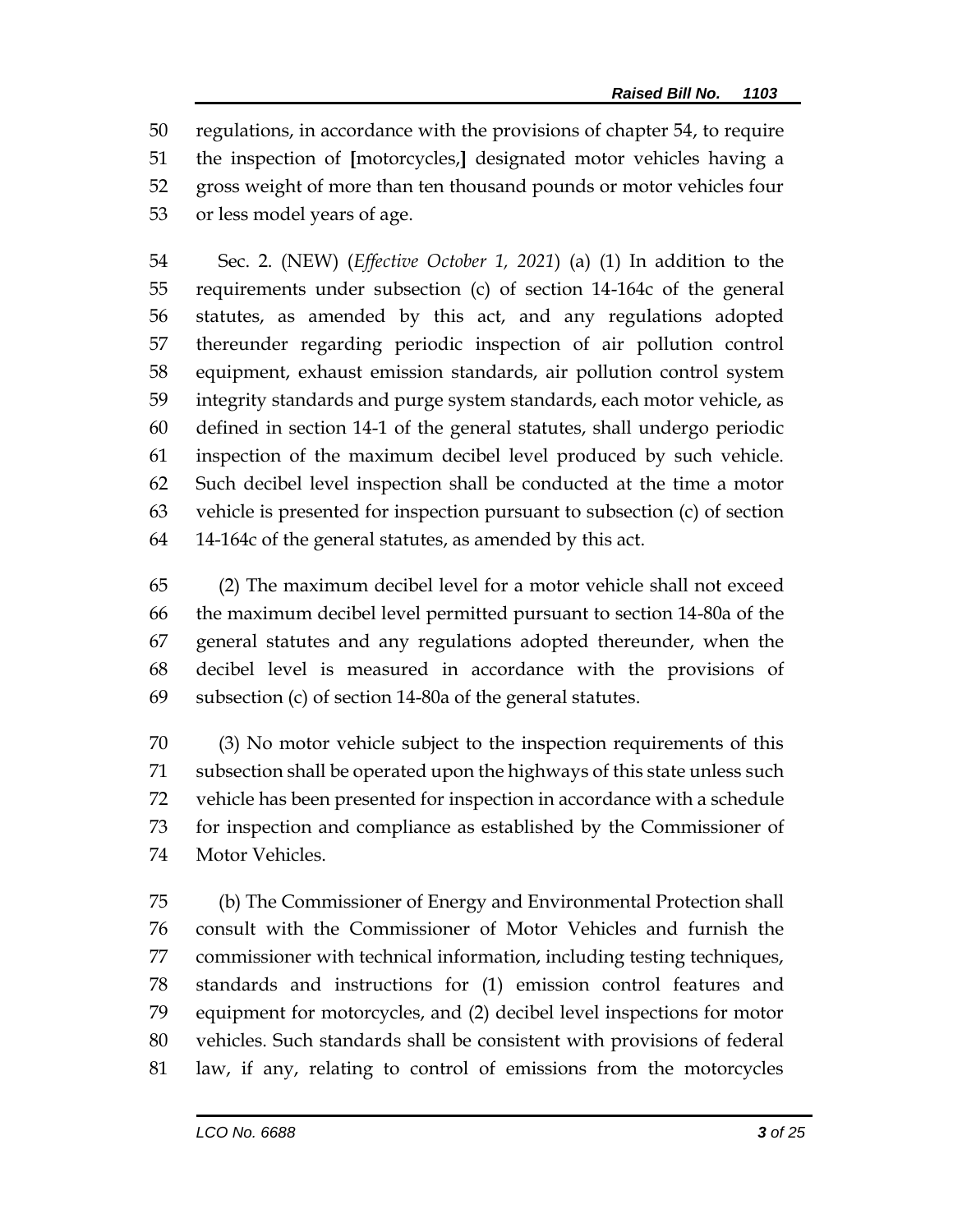regulations, in accordance with the provisions of chapter 54, to require the inspection of **[**motorcycles,**]** designated motor vehicles having a gross weight of more than ten thousand pounds or motor vehicles four or less model years of age.

 Sec. 2. (NEW) (*Effective October 1, 2021*) (a) (1) In addition to the requirements under subsection (c) of section 14-164c of the general statutes, as amended by this act, and any regulations adopted thereunder regarding periodic inspection of air pollution control equipment, exhaust emission standards, air pollution control system integrity standards and purge system standards, each motor vehicle, as defined in section 14-1 of the general statutes, shall undergo periodic inspection of the maximum decibel level produced by such vehicle. Such decibel level inspection shall be conducted at the time a motor vehicle is presented for inspection pursuant to subsection (c) of section 14-164c of the general statutes, as amended by this act.

 (2) The maximum decibel level for a motor vehicle shall not exceed the maximum decibel level permitted pursuant to section 14-80a of the general statutes and any regulations adopted thereunder, when the decibel level is measured in accordance with the provisions of subsection (c) of section 14-80a of the general statutes.

 (3) No motor vehicle subject to the inspection requirements of this subsection shall be operated upon the highways of this state unless such vehicle has been presented for inspection in accordance with a schedule for inspection and compliance as established by the Commissioner of Motor Vehicles.

 (b) The Commissioner of Energy and Environmental Protection shall consult with the Commissioner of Motor Vehicles and furnish the commissioner with technical information, including testing techniques, standards and instructions for (1) emission control features and equipment for motorcycles, and (2) decibel level inspections for motor vehicles. Such standards shall be consistent with provisions of federal law, if any, relating to control of emissions from the motorcycles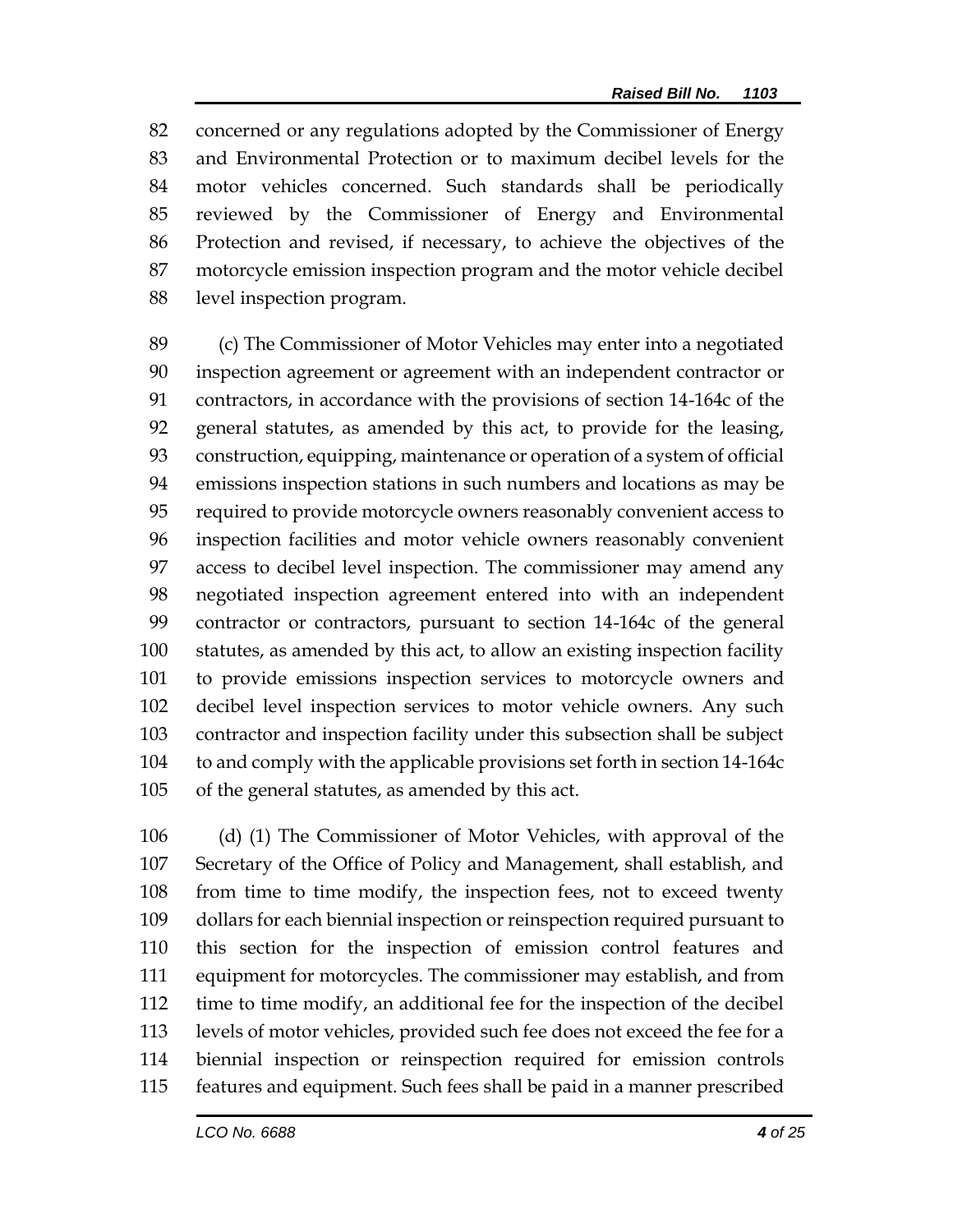concerned or any regulations adopted by the Commissioner of Energy and Environmental Protection or to maximum decibel levels for the motor vehicles concerned. Such standards shall be periodically reviewed by the Commissioner of Energy and Environmental Protection and revised, if necessary, to achieve the objectives of the motorcycle emission inspection program and the motor vehicle decibel level inspection program.

 (c) The Commissioner of Motor Vehicles may enter into a negotiated inspection agreement or agreement with an independent contractor or contractors, in accordance with the provisions of section 14-164c of the general statutes, as amended by this act, to provide for the leasing, construction, equipping, maintenance or operation of a system of official emissions inspection stations in such numbers and locations as may be required to provide motorcycle owners reasonably convenient access to inspection facilities and motor vehicle owners reasonably convenient access to decibel level inspection. The commissioner may amend any negotiated inspection agreement entered into with an independent contractor or contractors, pursuant to section 14-164c of the general statutes, as amended by this act, to allow an existing inspection facility to provide emissions inspection services to motorcycle owners and decibel level inspection services to motor vehicle owners. Any such contractor and inspection facility under this subsection shall be subject to and comply with the applicable provisions set forth in section 14-164c of the general statutes, as amended by this act.

 (d) (1) The Commissioner of Motor Vehicles, with approval of the Secretary of the Office of Policy and Management, shall establish, and from time to time modify, the inspection fees, not to exceed twenty dollars for each biennial inspection or reinspection required pursuant to this section for the inspection of emission control features and equipment for motorcycles. The commissioner may establish, and from time to time modify, an additional fee for the inspection of the decibel levels of motor vehicles, provided such fee does not exceed the fee for a biennial inspection or reinspection required for emission controls features and equipment. Such fees shall be paid in a manner prescribed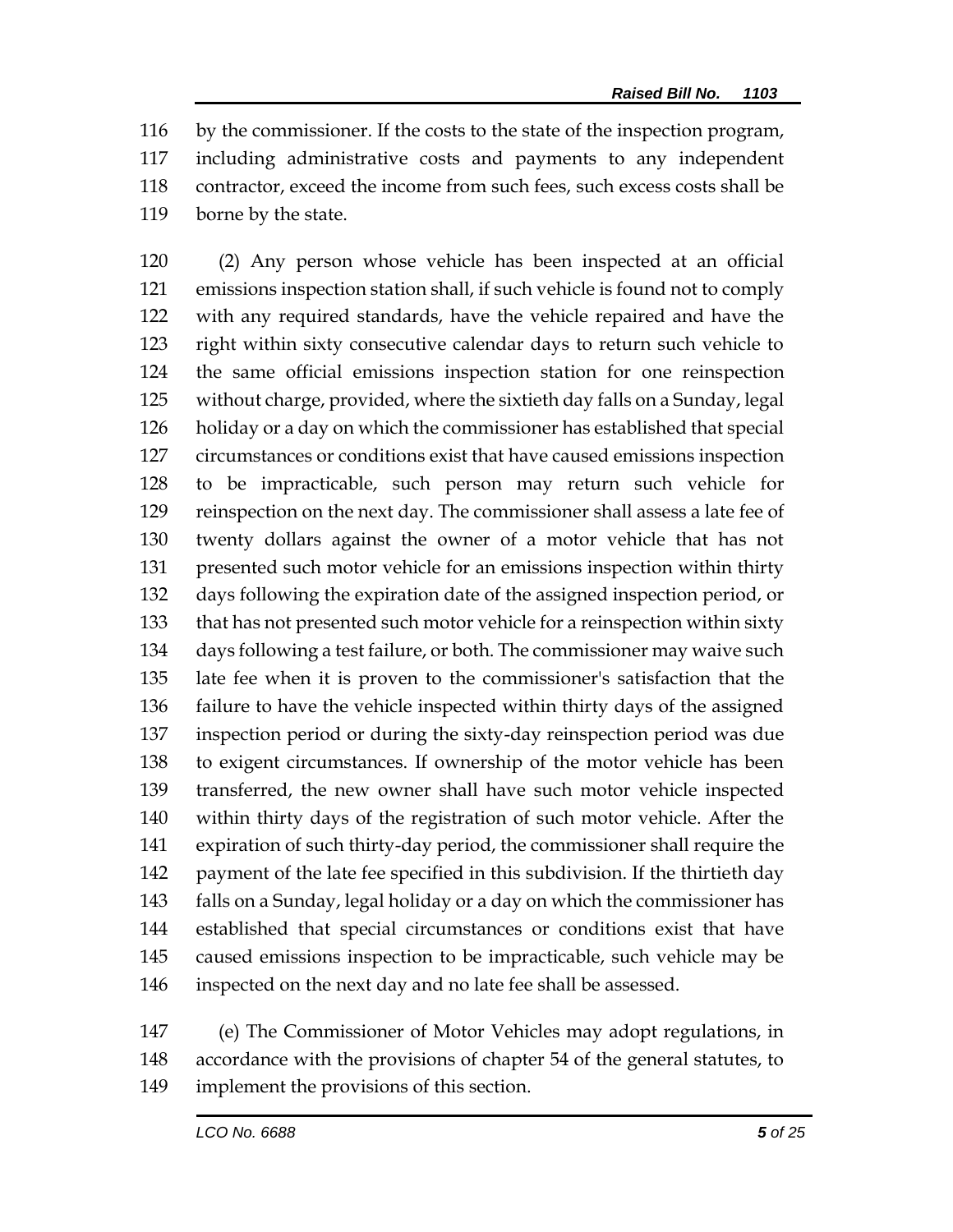by the commissioner. If the costs to the state of the inspection program, including administrative costs and payments to any independent contractor, exceed the income from such fees, such excess costs shall be borne by the state.

 (2) Any person whose vehicle has been inspected at an official emissions inspection station shall, if such vehicle is found not to comply with any required standards, have the vehicle repaired and have the right within sixty consecutive calendar days to return such vehicle to the same official emissions inspection station for one reinspection without charge, provided, where the sixtieth day falls on a Sunday, legal holiday or a day on which the commissioner has established that special circumstances or conditions exist that have caused emissions inspection to be impracticable, such person may return such vehicle for reinspection on the next day. The commissioner shall assess a late fee of twenty dollars against the owner of a motor vehicle that has not presented such motor vehicle for an emissions inspection within thirty days following the expiration date of the assigned inspection period, or that has not presented such motor vehicle for a reinspection within sixty days following a test failure, or both. The commissioner may waive such late fee when it is proven to the commissioner's satisfaction that the failure to have the vehicle inspected within thirty days of the assigned inspection period or during the sixty-day reinspection period was due to exigent circumstances. If ownership of the motor vehicle has been transferred, the new owner shall have such motor vehicle inspected within thirty days of the registration of such motor vehicle. After the expiration of such thirty-day period, the commissioner shall require the payment of the late fee specified in this subdivision. If the thirtieth day falls on a Sunday, legal holiday or a day on which the commissioner has established that special circumstances or conditions exist that have caused emissions inspection to be impracticable, such vehicle may be inspected on the next day and no late fee shall be assessed.

 (e) The Commissioner of Motor Vehicles may adopt regulations, in accordance with the provisions of chapter 54 of the general statutes, to implement the provisions of this section.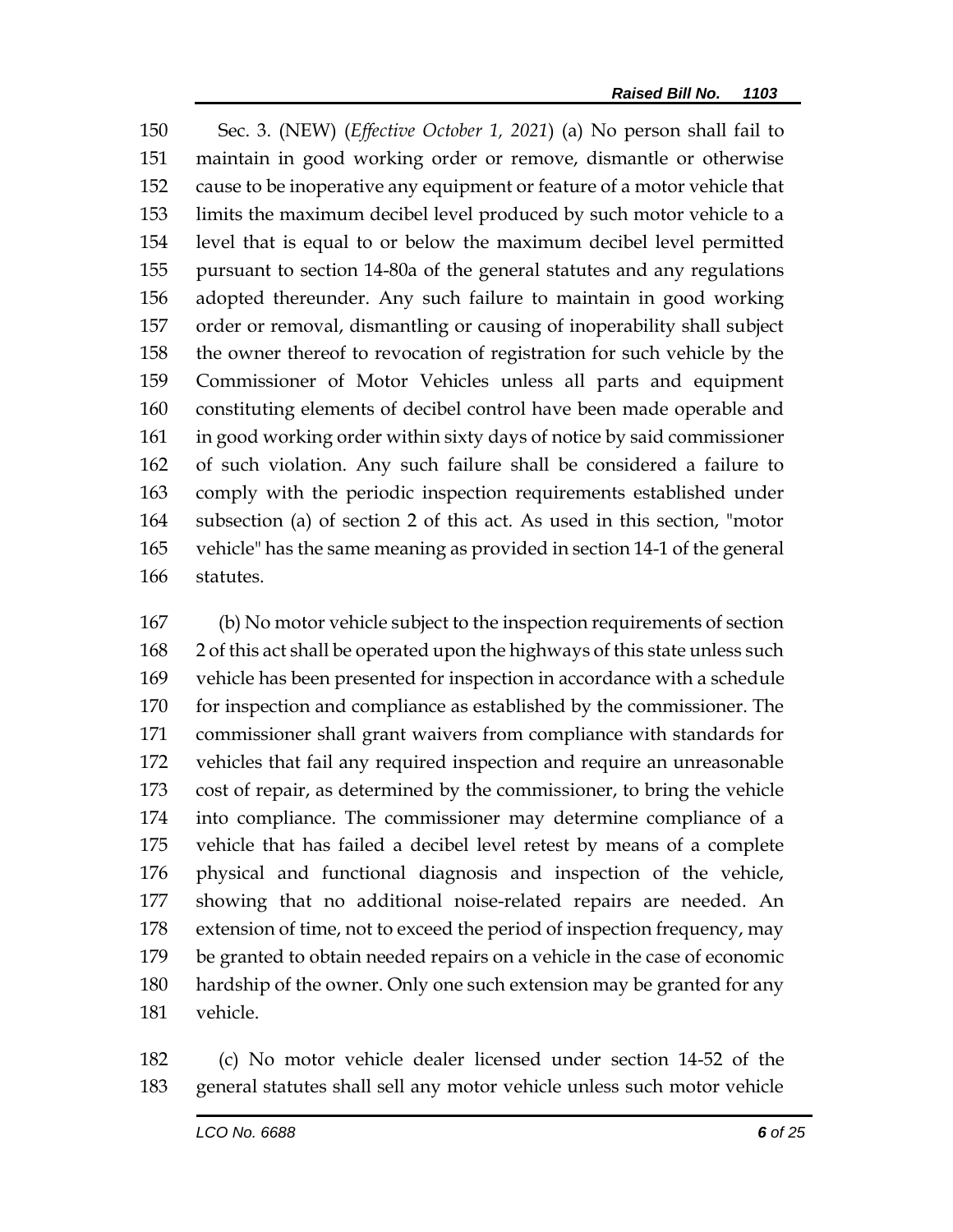Sec. 3. (NEW) (*Effective October 1, 2021*) (a) No person shall fail to maintain in good working order or remove, dismantle or otherwise cause to be inoperative any equipment or feature of a motor vehicle that limits the maximum decibel level produced by such motor vehicle to a level that is equal to or below the maximum decibel level permitted pursuant to section 14-80a of the general statutes and any regulations adopted thereunder. Any such failure to maintain in good working order or removal, dismantling or causing of inoperability shall subject the owner thereof to revocation of registration for such vehicle by the Commissioner of Motor Vehicles unless all parts and equipment constituting elements of decibel control have been made operable and in good working order within sixty days of notice by said commissioner of such violation. Any such failure shall be considered a failure to comply with the periodic inspection requirements established under subsection (a) of section 2 of this act. As used in this section, "motor vehicle" has the same meaning as provided in section 14-1 of the general statutes.

 (b) No motor vehicle subject to the inspection requirements of section 2 of this act shall be operated upon the highways of this state unless such vehicle has been presented for inspection in accordance with a schedule 170 for inspection and compliance as established by the commissioner. The commissioner shall grant waivers from compliance with standards for vehicles that fail any required inspection and require an unreasonable cost of repair, as determined by the commissioner, to bring the vehicle into compliance. The commissioner may determine compliance of a vehicle that has failed a decibel level retest by means of a complete physical and functional diagnosis and inspection of the vehicle, showing that no additional noise-related repairs are needed. An extension of time, not to exceed the period of inspection frequency, may be granted to obtain needed repairs on a vehicle in the case of economic hardship of the owner. Only one such extension may be granted for any vehicle.

 (c) No motor vehicle dealer licensed under section 14-52 of the general statutes shall sell any motor vehicle unless such motor vehicle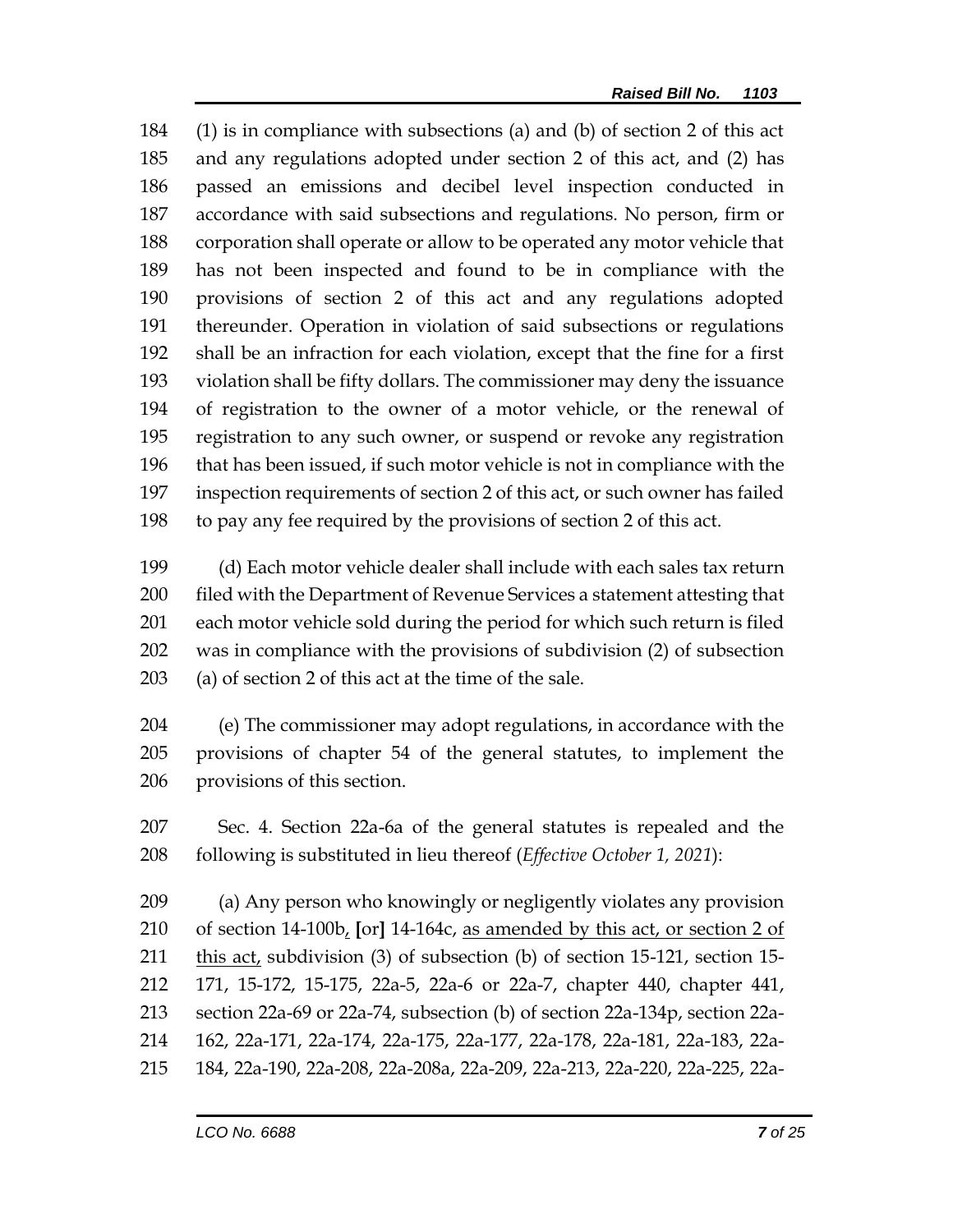(1) is in compliance with subsections (a) and (b) of section 2 of this act and any regulations adopted under section 2 of this act, and (2) has passed an emissions and decibel level inspection conducted in accordance with said subsections and regulations. No person, firm or corporation shall operate or allow to be operated any motor vehicle that has not been inspected and found to be in compliance with the provisions of section 2 of this act and any regulations adopted thereunder. Operation in violation of said subsections or regulations shall be an infraction for each violation, except that the fine for a first violation shall be fifty dollars. The commissioner may deny the issuance of registration to the owner of a motor vehicle, or the renewal of registration to any such owner, or suspend or revoke any registration that has been issued, if such motor vehicle is not in compliance with the inspection requirements of section 2 of this act, or such owner has failed to pay any fee required by the provisions of section 2 of this act.

 (d) Each motor vehicle dealer shall include with each sales tax return 200 filed with the Department of Revenue Services a statement attesting that each motor vehicle sold during the period for which such return is filed was in compliance with the provisions of subdivision (2) of subsection (a) of section 2 of this act at the time of the sale.

 (e) The commissioner may adopt regulations, in accordance with the provisions of chapter 54 of the general statutes, to implement the provisions of this section.

 Sec. 4. Section 22a-6a of the general statutes is repealed and the following is substituted in lieu thereof (*Effective October 1, 2021*):

 (a) Any person who knowingly or negligently violates any provision of section 14-100b, **[**or**]** 14-164c, as amended by this act, or section 2 of this act, subdivision (3) of subsection (b) of section 15-121, section 15- 171, 15-172, 15-175, 22a-5, 22a-6 or 22a-7, chapter 440, chapter 441, section 22a-69 or 22a-74, subsection (b) of section 22a-134p, section 22a- 162, 22a-171, 22a-174, 22a-175, 22a-177, 22a-178, 22a-181, 22a-183, 22a-184, 22a-190, 22a-208, 22a-208a, 22a-209, 22a-213, 22a-220, 22a-225, 22a-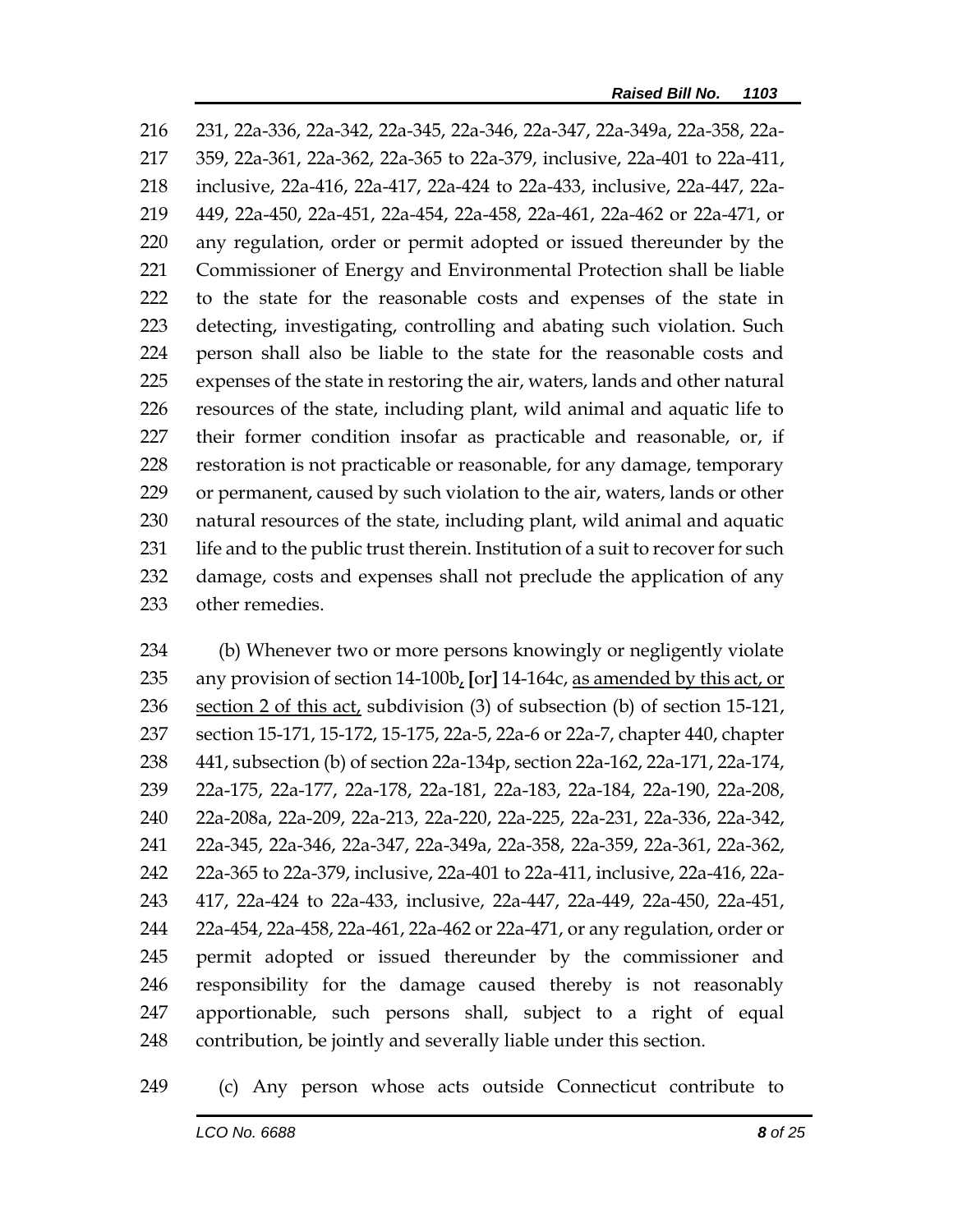231, 22a-336, 22a-342, 22a-345, 22a-346, 22a-347, 22a-349a, 22a-358, 22a- 359, 22a-361, 22a-362, 22a-365 to 22a-379, inclusive, 22a-401 to 22a-411, inclusive, 22a-416, 22a-417, 22a-424 to 22a-433, inclusive, 22a-447, 22a- 449, 22a-450, 22a-451, 22a-454, 22a-458, 22a-461, 22a-462 or 22a-471, or any regulation, order or permit adopted or issued thereunder by the Commissioner of Energy and Environmental Protection shall be liable to the state for the reasonable costs and expenses of the state in detecting, investigating, controlling and abating such violation. Such person shall also be liable to the state for the reasonable costs and expenses of the state in restoring the air, waters, lands and other natural resources of the state, including plant, wild animal and aquatic life to their former condition insofar as practicable and reasonable, or, if restoration is not practicable or reasonable, for any damage, temporary or permanent, caused by such violation to the air, waters, lands or other natural resources of the state, including plant, wild animal and aquatic life and to the public trust therein. Institution of a suit to recover for such damage, costs and expenses shall not preclude the application of any other remedies.

 (b) Whenever two or more persons knowingly or negligently violate any provision of section 14-100b, **[**or**]** 14-164c, as amended by this act, or 236 section 2 of this act, subdivision (3) of subsection (b) of section 15-121, section 15-171, 15-172, 15-175, 22a-5, 22a-6 or 22a-7, chapter 440, chapter 441, subsection (b) of section 22a-134p, section 22a-162, 22a-171, 22a-174, 22a-175, 22a-177, 22a-178, 22a-181, 22a-183, 22a-184, 22a-190, 22a-208, 22a-208a, 22a-209, 22a-213, 22a-220, 22a-225, 22a-231, 22a-336, 22a-342, 22a-345, 22a-346, 22a-347, 22a-349a, 22a-358, 22a-359, 22a-361, 22a-362, 22a-365 to 22a-379, inclusive, 22a-401 to 22a-411, inclusive, 22a-416, 22a- 417, 22a-424 to 22a-433, inclusive, 22a-447, 22a-449, 22a-450, 22a-451, 22a-454, 22a-458, 22a-461, 22a-462 or 22a-471, or any regulation, order or permit adopted or issued thereunder by the commissioner and responsibility for the damage caused thereby is not reasonably apportionable, such persons shall, subject to a right of equal contribution, be jointly and severally liable under this section.

(c) Any person whose acts outside Connecticut contribute to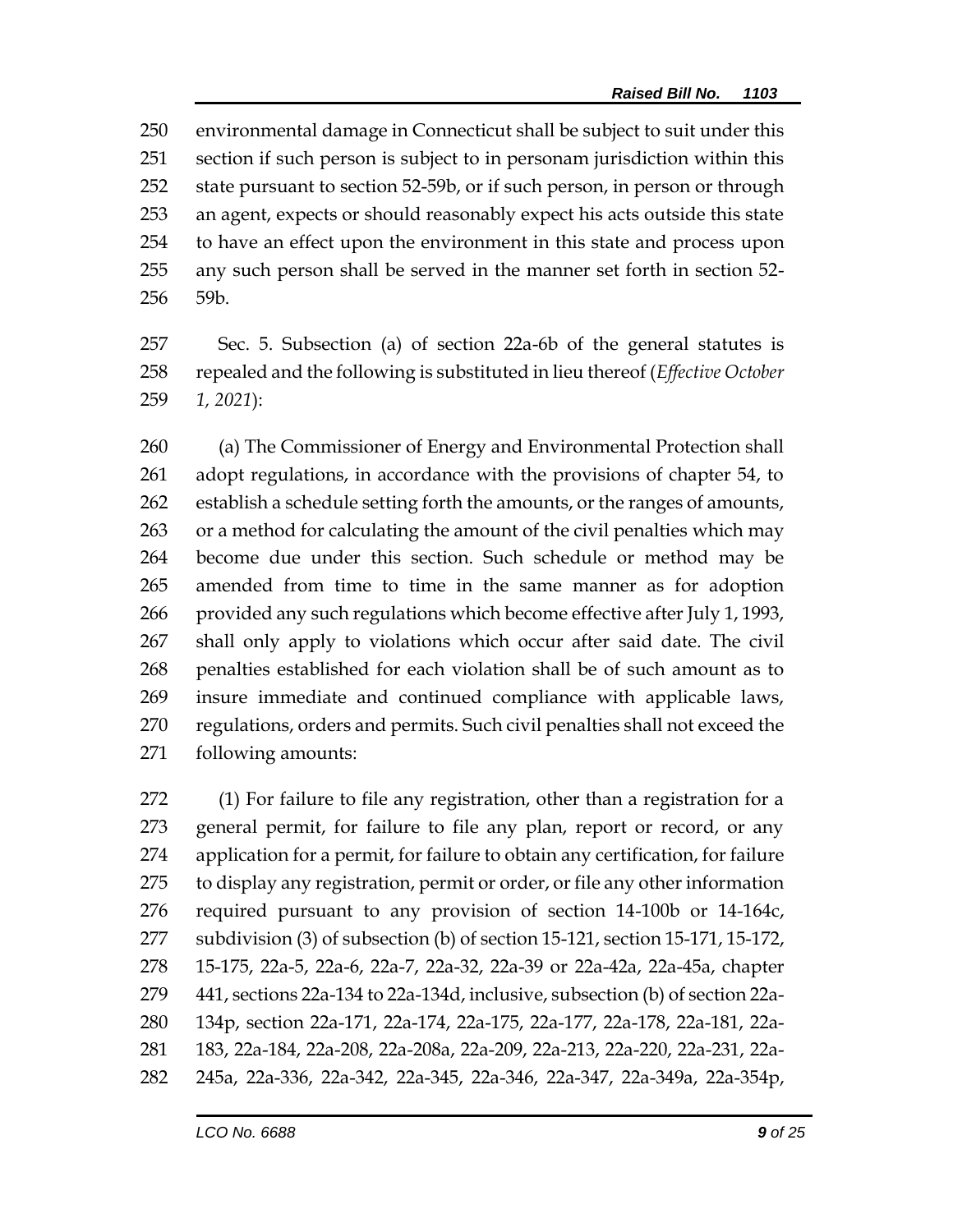environmental damage in Connecticut shall be subject to suit under this section if such person is subject to in personam jurisdiction within this state pursuant to section 52-59b, or if such person, in person or through an agent, expects or should reasonably expect his acts outside this state to have an effect upon the environment in this state and process upon any such person shall be served in the manner set forth in section 52- 59b.

 Sec. 5. Subsection (a) of section 22a-6b of the general statutes is repealed and the following is substituted in lieu thereof (*Effective October 1, 2021*):

 (a) The Commissioner of Energy and Environmental Protection shall adopt regulations, in accordance with the provisions of chapter 54, to establish a schedule setting forth the amounts, or the ranges of amounts, or a method for calculating the amount of the civil penalties which may become due under this section. Such schedule or method may be amended from time to time in the same manner as for adoption provided any such regulations which become effective after July 1, 1993, shall only apply to violations which occur after said date. The civil penalties established for each violation shall be of such amount as to insure immediate and continued compliance with applicable laws, regulations, orders and permits. Such civil penalties shall not exceed the following amounts:

 (1) For failure to file any registration, other than a registration for a general permit, for failure to file any plan, report or record, or any application for a permit, for failure to obtain any certification, for failure to display any registration, permit or order, or file any other information required pursuant to any provision of section 14-100b or 14-164c, subdivision (3) of subsection (b) of section 15-121, section 15-171, 15-172, 15-175, 22a-5, 22a-6, 22a-7, 22a-32, 22a-39 or 22a-42a, 22a-45a, chapter 441, sections 22a-134 to 22a-134d, inclusive, subsection (b) of section 22a- 134p, section 22a-171, 22a-174, 22a-175, 22a-177, 22a-178, 22a-181, 22a- 183, 22a-184, 22a-208, 22a-208a, 22a-209, 22a-213, 22a-220, 22a-231, 22a-245a, 22a-336, 22a-342, 22a-345, 22a-346, 22a-347, 22a-349a, 22a-354p,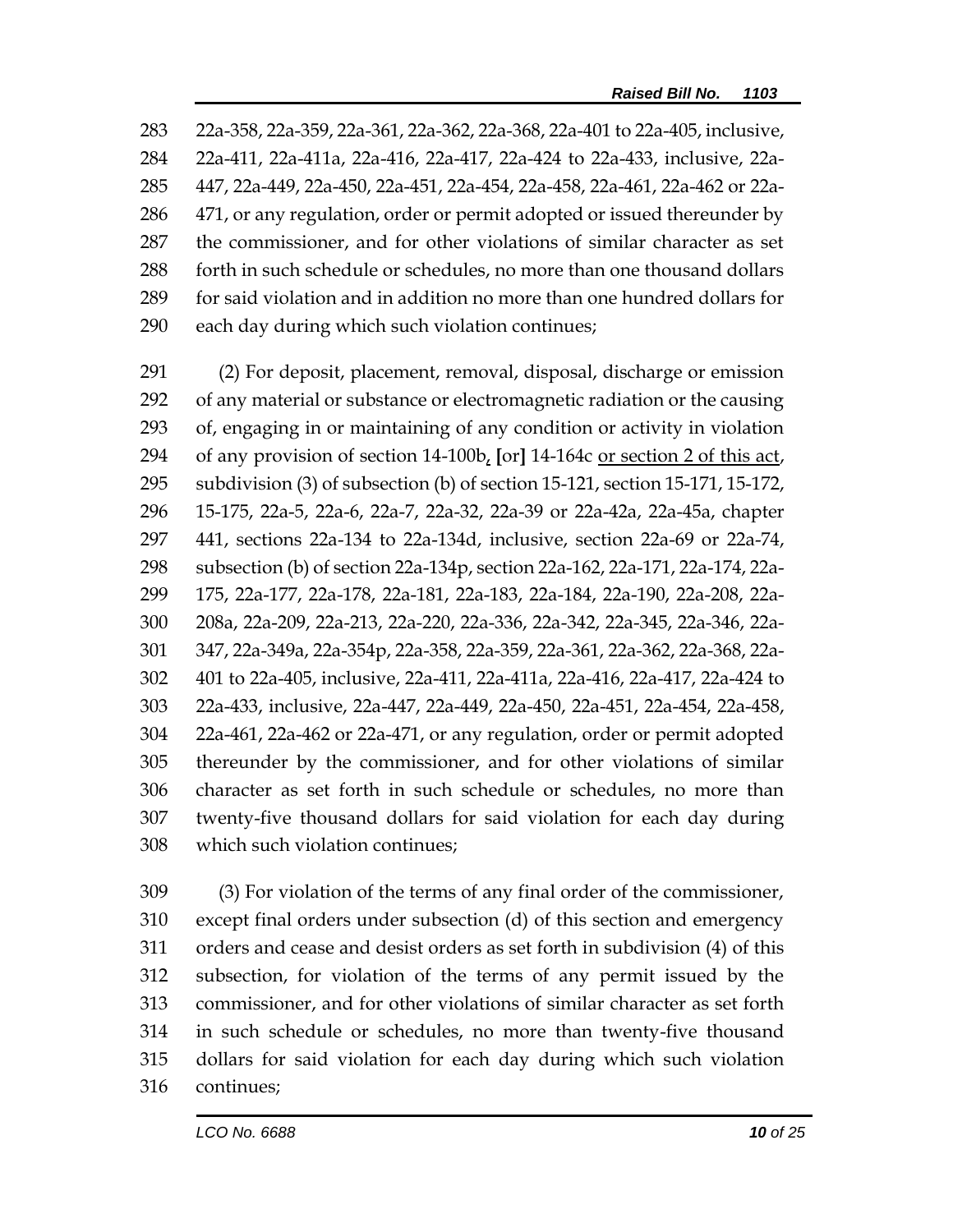22a-358, 22a-359, 22a-361, 22a-362, 22a-368, 22a-401 to 22a-405, inclusive, 22a-411, 22a-411a, 22a-416, 22a-417, 22a-424 to 22a-433, inclusive, 22a- 447, 22a-449, 22a-450, 22a-451, 22a-454, 22a-458, 22a-461, 22a-462 or 22a-286 471, or any regulation, order or permit adopted or issued thereunder by the commissioner, and for other violations of similar character as set forth in such schedule or schedules, no more than one thousand dollars for said violation and in addition no more than one hundred dollars for each day during which such violation continues;

 (2) For deposit, placement, removal, disposal, discharge or emission of any material or substance or electromagnetic radiation or the causing of, engaging in or maintaining of any condition or activity in violation of any provision of section 14-100b, **[**or**]** 14-164c or section 2 of this act, subdivision (3) of subsection (b) of section 15-121, section 15-171, 15-172, 15-175, 22a-5, 22a-6, 22a-7, 22a-32, 22a-39 or 22a-42a, 22a-45a, chapter 441, sections 22a-134 to 22a-134d, inclusive, section 22a-69 or 22a-74, subsection (b) of section 22a-134p, section 22a-162, 22a-171, 22a-174, 22a- 175, 22a-177, 22a-178, 22a-181, 22a-183, 22a-184, 22a-190, 22a-208, 22a- 208a, 22a-209, 22a-213, 22a-220, 22a-336, 22a-342, 22a-345, 22a-346, 22a- 347, 22a-349a, 22a-354p, 22a-358, 22a-359, 22a-361, 22a-362, 22a-368, 22a- 401 to 22a-405, inclusive, 22a-411, 22a-411a, 22a-416, 22a-417, 22a-424 to 22a-433, inclusive, 22a-447, 22a-449, 22a-450, 22a-451, 22a-454, 22a-458, 22a-461, 22a-462 or 22a-471, or any regulation, order or permit adopted thereunder by the commissioner, and for other violations of similar character as set forth in such schedule or schedules, no more than twenty-five thousand dollars for said violation for each day during which such violation continues;

 (3) For violation of the terms of any final order of the commissioner, except final orders under subsection (d) of this section and emergency orders and cease and desist orders as set forth in subdivision (4) of this subsection, for violation of the terms of any permit issued by the commissioner, and for other violations of similar character as set forth in such schedule or schedules, no more than twenty-five thousand dollars for said violation for each day during which such violation continues;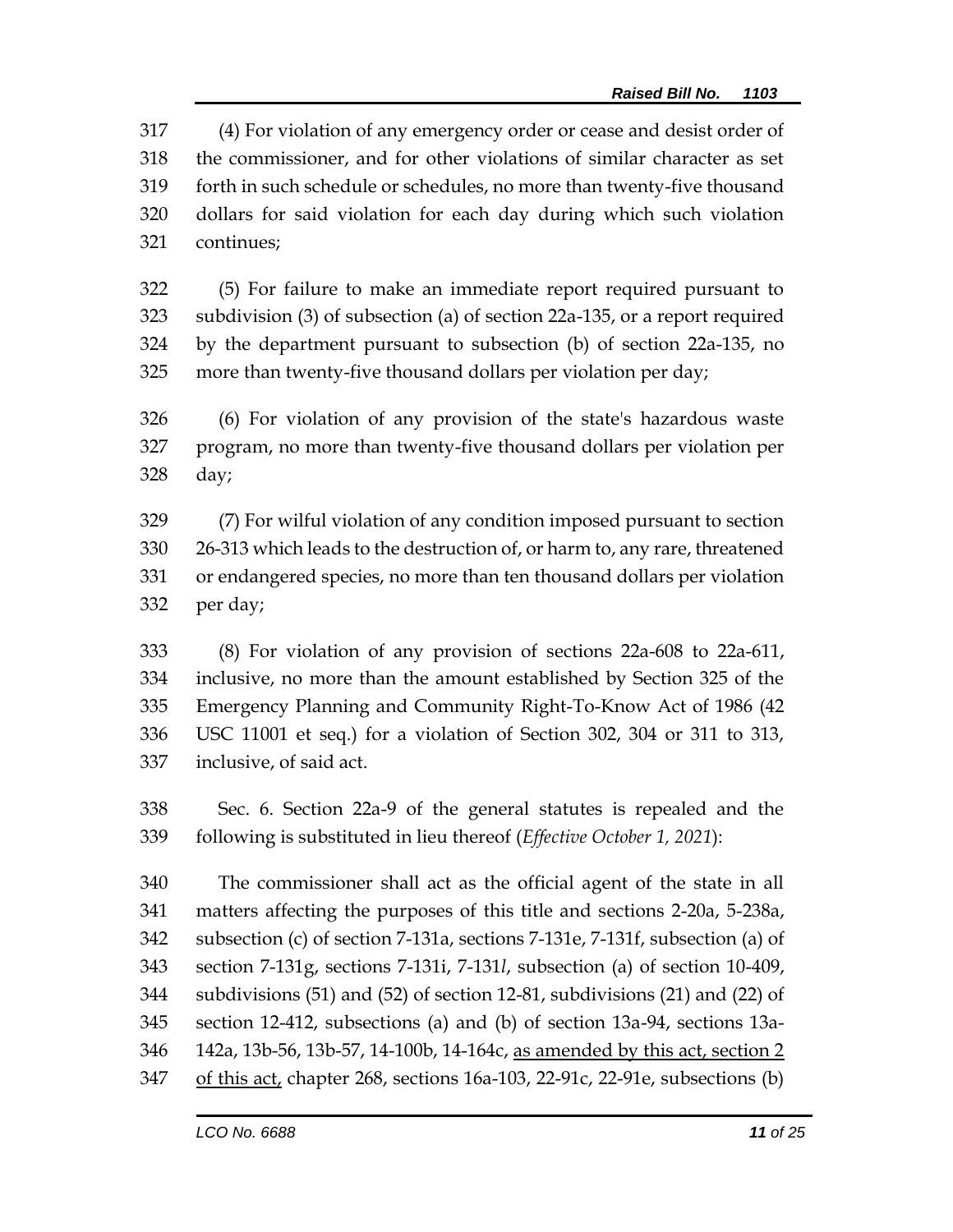(4) For violation of any emergency order or cease and desist order of the commissioner, and for other violations of similar character as set forth in such schedule or schedules, no more than twenty-five thousand dollars for said violation for each day during which such violation continues;

 (5) For failure to make an immediate report required pursuant to subdivision (3) of subsection (a) of section 22a-135, or a report required by the department pursuant to subsection (b) of section 22a-135, no more than twenty-five thousand dollars per violation per day;

 (6) For violation of any provision of the state's hazardous waste program, no more than twenty-five thousand dollars per violation per day;

 (7) For wilful violation of any condition imposed pursuant to section 26-313 which leads to the destruction of, or harm to, any rare, threatened or endangered species, no more than ten thousand dollars per violation per day;

 (8) For violation of any provision of sections 22a-608 to 22a-611, inclusive, no more than the amount established by Section 325 of the Emergency Planning and Community Right-To-Know Act of 1986 (42 USC 11001 et seq.) for a violation of Section 302, 304 or 311 to 313, inclusive, of said act.

 Sec. 6. Section 22a-9 of the general statutes is repealed and the following is substituted in lieu thereof (*Effective October 1, 2021*):

 The commissioner shall act as the official agent of the state in all matters affecting the purposes of this title and sections 2-20a, 5-238a, subsection (c) of section 7-131a, sections 7-131e, 7-131f, subsection (a) of section 7-131g, sections 7-131i, 7-131*l*, subsection (a) of section 10-409, subdivisions (51) and (52) of section 12-81, subdivisions (21) and (22) of section 12-412, subsections (a) and (b) of section 13a-94, sections 13a-346 142a, 13b-56, 13b-57, 14-100b, 14-164c, as amended by this act, section 2 of this act, chapter 268, sections 16a-103, 22-91c, 22-91e, subsections (b)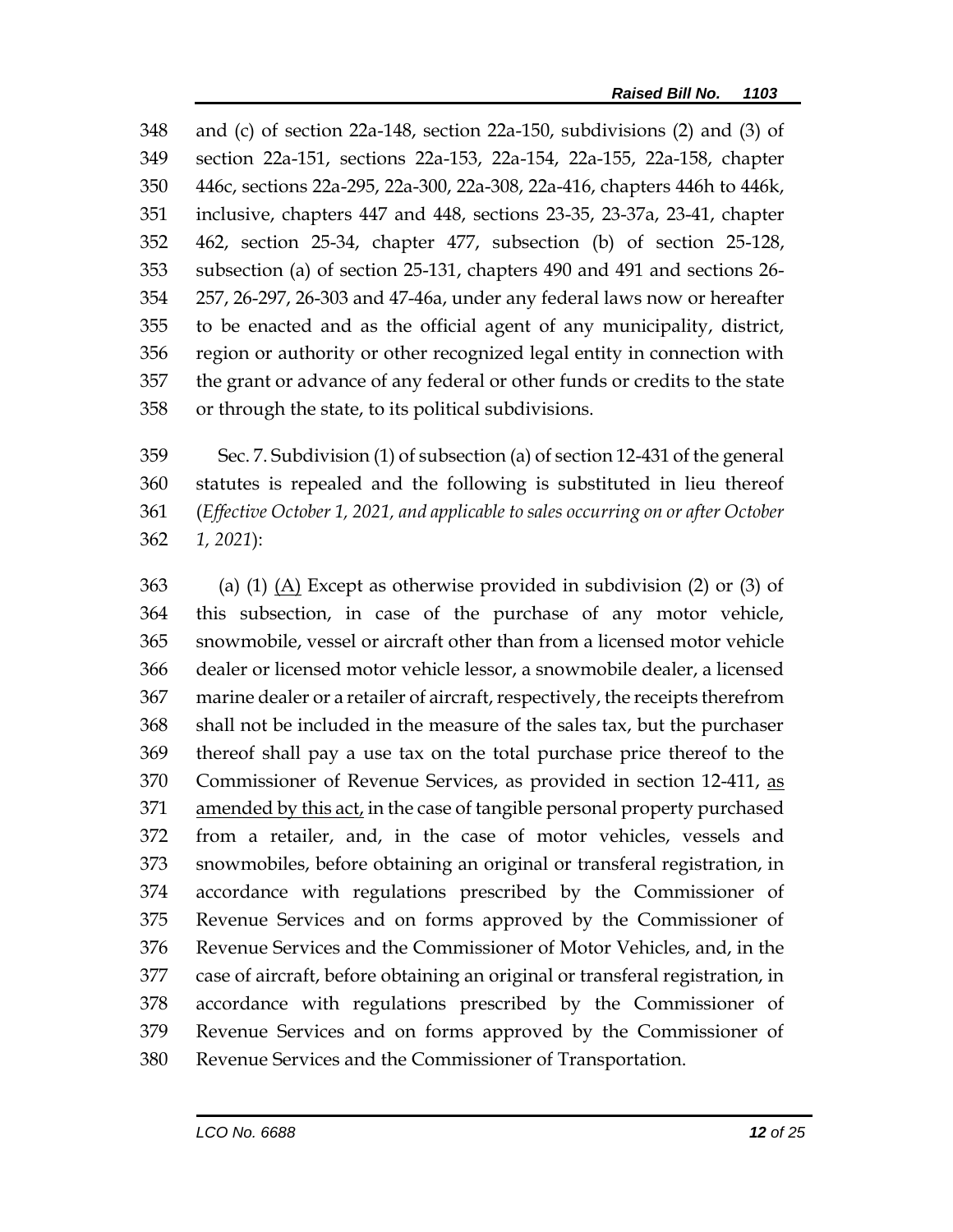and (c) of section 22a-148, section 22a-150, subdivisions (2) and (3) of section 22a-151, sections 22a-153, 22a-154, 22a-155, 22a-158, chapter 446c, sections 22a-295, 22a-300, 22a-308, 22a-416, chapters 446h to 446k, inclusive, chapters 447 and 448, sections 23-35, 23-37a, 23-41, chapter 462, section 25-34, chapter 477, subsection (b) of section 25-128, subsection (a) of section 25-131, chapters 490 and 491 and sections 26- 257, 26-297, 26-303 and 47-46a, under any federal laws now or hereafter to be enacted and as the official agent of any municipality, district, region or authority or other recognized legal entity in connection with the grant or advance of any federal or other funds or credits to the state or through the state, to its political subdivisions.

 Sec. 7. Subdivision (1) of subsection (a) of section 12-431 of the general statutes is repealed and the following is substituted in lieu thereof (*Effective October 1, 2021, and applicable to sales occurring on or after October 1, 2021*):

 (a) (1) (A) Except as otherwise provided in subdivision (2) or (3) of this subsection, in case of the purchase of any motor vehicle, snowmobile, vessel or aircraft other than from a licensed motor vehicle dealer or licensed motor vehicle lessor, a snowmobile dealer, a licensed marine dealer or a retailer of aircraft, respectively, the receipts therefrom shall not be included in the measure of the sales tax, but the purchaser thereof shall pay a use tax on the total purchase price thereof to the Commissioner of Revenue Services, as provided in section 12-411, as 371 amended by this act, in the case of tangible personal property purchased from a retailer, and, in the case of motor vehicles, vessels and snowmobiles, before obtaining an original or transferal registration, in accordance with regulations prescribed by the Commissioner of Revenue Services and on forms approved by the Commissioner of Revenue Services and the Commissioner of Motor Vehicles, and, in the case of aircraft, before obtaining an original or transferal registration, in accordance with regulations prescribed by the Commissioner of Revenue Services and on forms approved by the Commissioner of Revenue Services and the Commissioner of Transportation.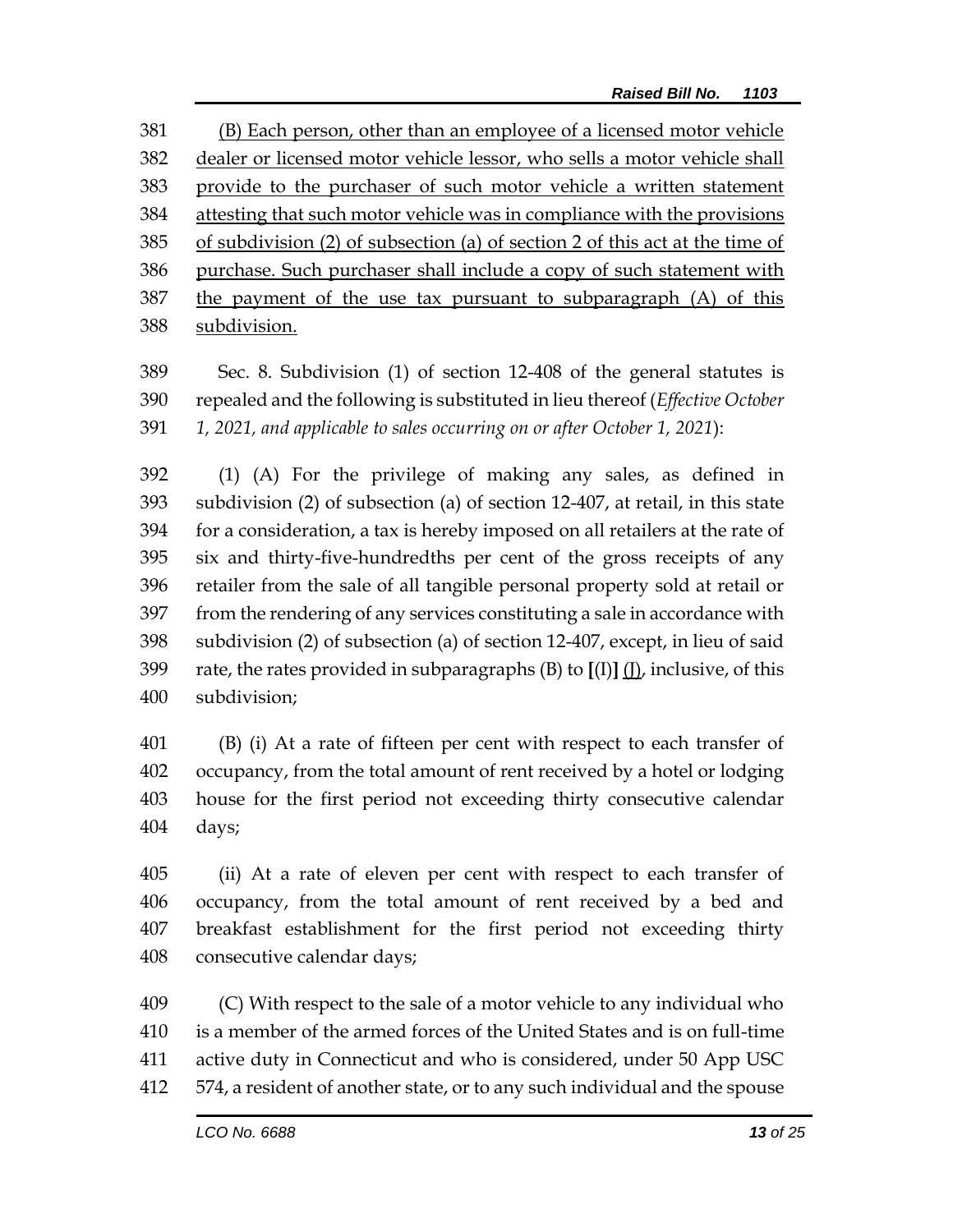(B) Each person, other than an employee of a licensed motor vehicle dealer or licensed motor vehicle lessor, who sells a motor vehicle shall 383 provide to the purchaser of such motor vehicle a written statement attesting that such motor vehicle was in compliance with the provisions of subdivision (2) of subsection (a) of section 2 of this act at the time of purchase. Such purchaser shall include a copy of such statement with the payment of the use tax pursuant to subparagraph (A) of this subdivision.

 Sec. 8. Subdivision (1) of section 12-408 of the general statutes is repealed and the following is substituted in lieu thereof (*Effective October 1, 2021, and applicable to sales occurring on or after October 1, 2021*):

 (1) (A) For the privilege of making any sales, as defined in subdivision (2) of subsection (a) of section 12-407, at retail, in this state for a consideration, a tax is hereby imposed on all retailers at the rate of six and thirty-five-hundredths per cent of the gross receipts of any retailer from the sale of all tangible personal property sold at retail or from the rendering of any services constituting a sale in accordance with subdivision (2) of subsection (a) of section 12-407, except, in lieu of said rate, the rates provided in subparagraphs (B) to **[**(I)**]** (J), inclusive, of this subdivision;

 (B) (i) At a rate of fifteen per cent with respect to each transfer of occupancy, from the total amount of rent received by a hotel or lodging house for the first period not exceeding thirty consecutive calendar days;

 (ii) At a rate of eleven per cent with respect to each transfer of occupancy, from the total amount of rent received by a bed and breakfast establishment for the first period not exceeding thirty consecutive calendar days;

 (C) With respect to the sale of a motor vehicle to any individual who is a member of the armed forces of the United States and is on full-time active duty in Connecticut and who is considered, under 50 App USC 574, a resident of another state, or to any such individual and the spouse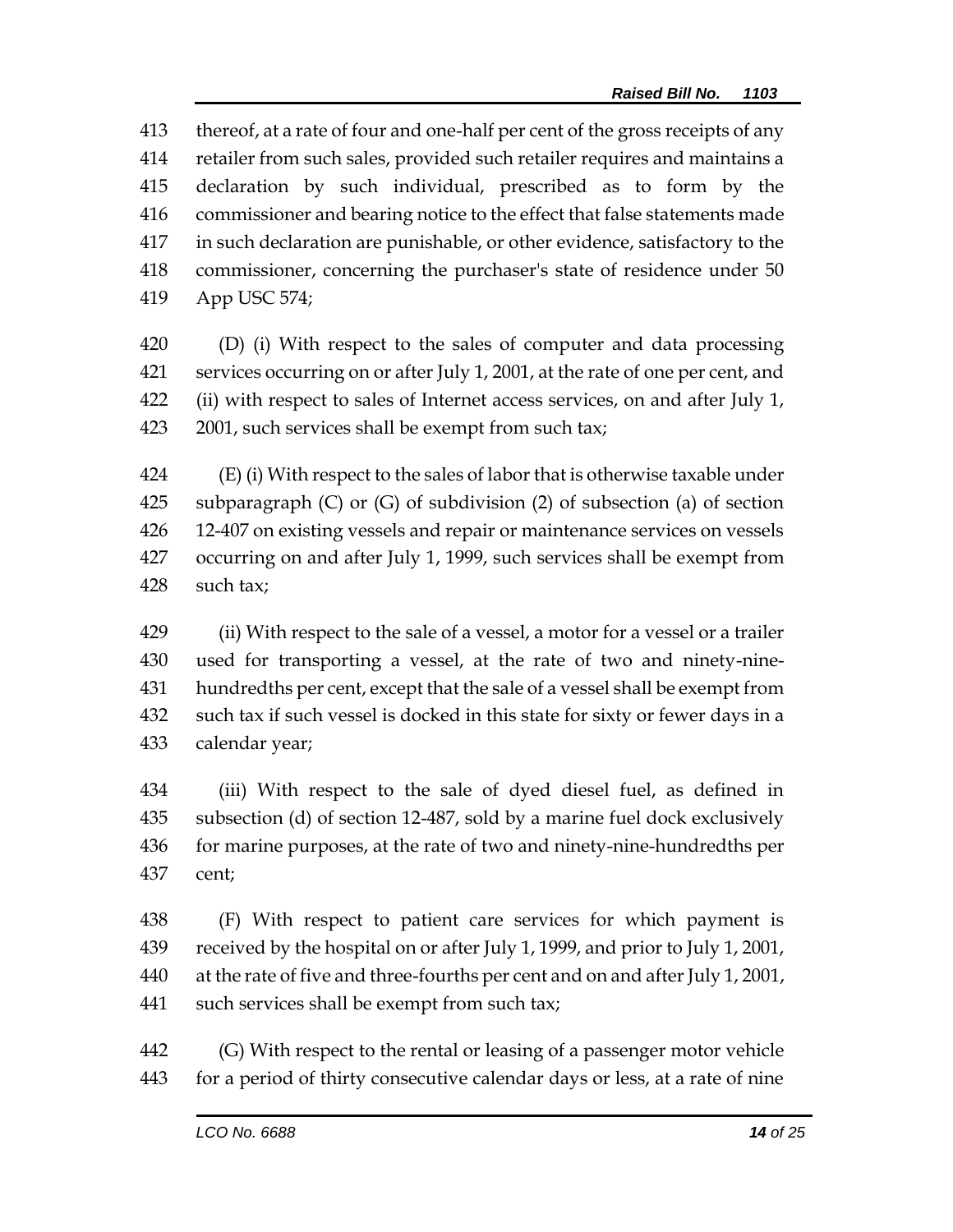thereof, at a rate of four and one-half per cent of the gross receipts of any retailer from such sales, provided such retailer requires and maintains a declaration by such individual, prescribed as to form by the commissioner and bearing notice to the effect that false statements made in such declaration are punishable, or other evidence, satisfactory to the commissioner, concerning the purchaser's state of residence under 50 App USC 574;

 (D) (i) With respect to the sales of computer and data processing services occurring on or after July 1, 2001, at the rate of one per cent, and 422 (ii) with respect to sales of Internet access services, on and after July 1, 423 2001, such services shall be exempt from such tax;

 (E) (i) With respect to the sales of labor that is otherwise taxable under subparagraph (C) or (G) of subdivision (2) of subsection (a) of section 12-407 on existing vessels and repair or maintenance services on vessels occurring on and after July 1, 1999, such services shall be exempt from such tax;

 (ii) With respect to the sale of a vessel, a motor for a vessel or a trailer used for transporting a vessel, at the rate of two and ninety-nine- hundredths per cent, except that the sale of a vessel shall be exempt from such tax if such vessel is docked in this state for sixty or fewer days in a calendar year;

 (iii) With respect to the sale of dyed diesel fuel, as defined in subsection (d) of section 12-487, sold by a marine fuel dock exclusively for marine purposes, at the rate of two and ninety-nine-hundredths per cent;

 (F) With respect to patient care services for which payment is received by the hospital on or after July 1, 1999, and prior to July 1, 2001, at the rate of five and three-fourths per cent and on and after July 1, 2001, such services shall be exempt from such tax;

 (G) With respect to the rental or leasing of a passenger motor vehicle for a period of thirty consecutive calendar days or less, at a rate of nine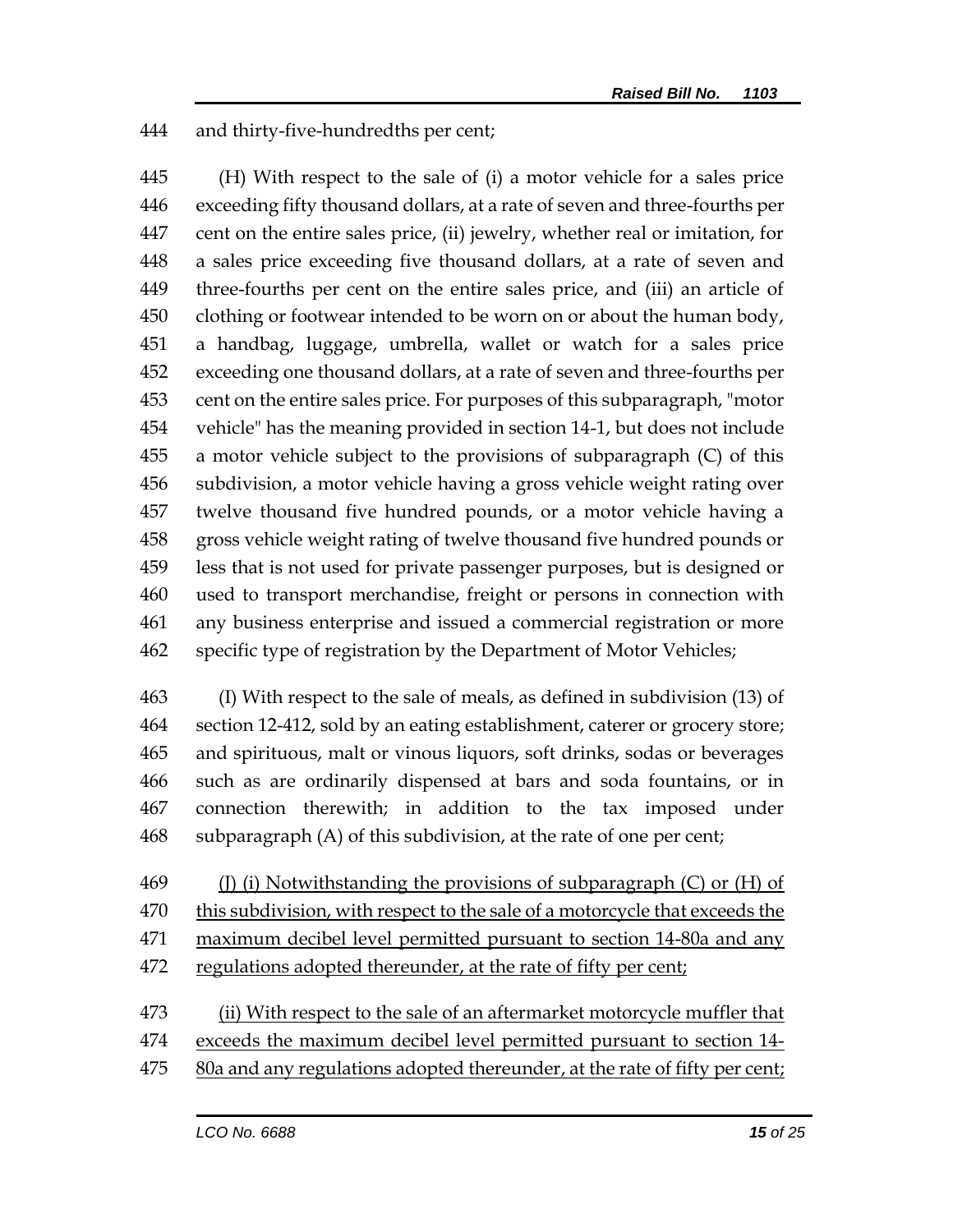and thirty-five-hundredths per cent;

 (H) With respect to the sale of (i) a motor vehicle for a sales price exceeding fifty thousand dollars, at a rate of seven and three-fourths per cent on the entire sales price, (ii) jewelry, whether real or imitation, for a sales price exceeding five thousand dollars, at a rate of seven and three-fourths per cent on the entire sales price, and (iii) an article of clothing or footwear intended to be worn on or about the human body, a handbag, luggage, umbrella, wallet or watch for a sales price exceeding one thousand dollars, at a rate of seven and three-fourths per cent on the entire sales price. For purposes of this subparagraph, "motor vehicle" has the meaning provided in section 14-1, but does not include a motor vehicle subject to the provisions of subparagraph (C) of this subdivision, a motor vehicle having a gross vehicle weight rating over twelve thousand five hundred pounds, or a motor vehicle having a gross vehicle weight rating of twelve thousand five hundred pounds or less that is not used for private passenger purposes, but is designed or used to transport merchandise, freight or persons in connection with any business enterprise and issued a commercial registration or more specific type of registration by the Department of Motor Vehicles;

 (I) With respect to the sale of meals, as defined in subdivision (13) of section 12-412, sold by an eating establishment, caterer or grocery store; and spirituous, malt or vinous liquors, soft drinks, sodas or beverages such as are ordinarily dispensed at bars and soda fountains, or in connection therewith; in addition to the tax imposed under subparagraph (A) of this subdivision, at the rate of one per cent;

- 469 (J) (i) Notwithstanding the provisions of subparagraph  $(C)$  or  $(H)$  of 470 this subdivision, with respect to the sale of a motorcycle that exceeds the maximum decibel level permitted pursuant to section 14-80a and any 472 regulations adopted thereunder, at the rate of fifty per cent;
- 473 (ii) With respect to the sale of an aftermarket motorcycle muffler that exceeds the maximum decibel level permitted pursuant to section 14- 475 80a and any regulations adopted thereunder, at the rate of fifty per cent;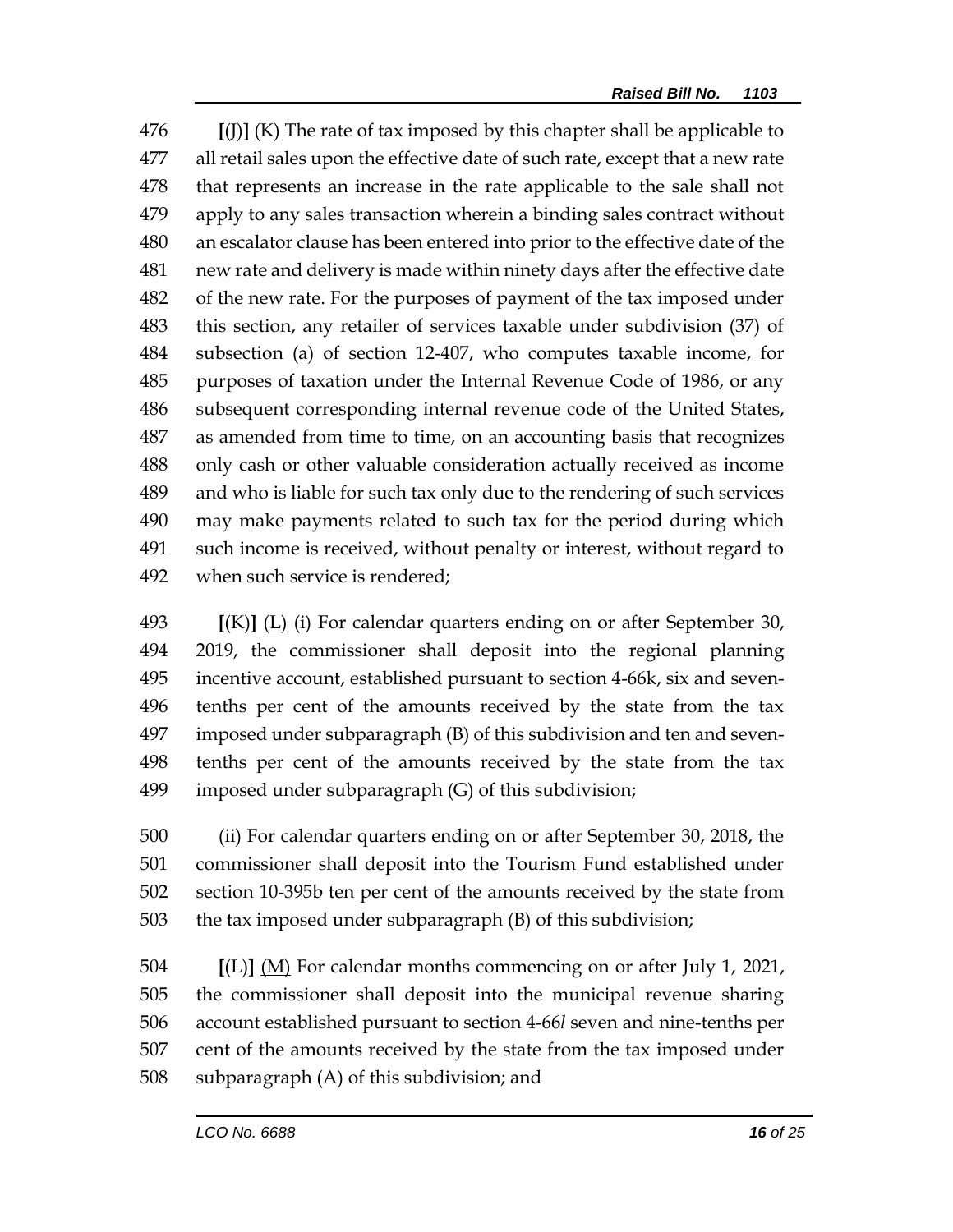**[**(J)**]** (K) The rate of tax imposed by this chapter shall be applicable to all retail sales upon the effective date of such rate, except that a new rate that represents an increase in the rate applicable to the sale shall not apply to any sales transaction wherein a binding sales contract without an escalator clause has been entered into prior to the effective date of the new rate and delivery is made within ninety days after the effective date of the new rate. For the purposes of payment of the tax imposed under this section, any retailer of services taxable under subdivision (37) of subsection (a) of section 12-407, who computes taxable income, for purposes of taxation under the Internal Revenue Code of 1986, or any subsequent corresponding internal revenue code of the United States, as amended from time to time, on an accounting basis that recognizes only cash or other valuable consideration actually received as income and who is liable for such tax only due to the rendering of such services may make payments related to such tax for the period during which such income is received, without penalty or interest, without regard to when such service is rendered;

 **[**(K)**]** (L) (i) For calendar quarters ending on or after September 30, 2019, the commissioner shall deposit into the regional planning incentive account, established pursuant to section 4-66k, six and seven- tenths per cent of the amounts received by the state from the tax imposed under subparagraph (B) of this subdivision and ten and seven- tenths per cent of the amounts received by the state from the tax imposed under subparagraph (G) of this subdivision;

 (ii) For calendar quarters ending on or after September 30, 2018, the commissioner shall deposit into the Tourism Fund established under section 10-395b ten per cent of the amounts received by the state from the tax imposed under subparagraph (B) of this subdivision;

 **[**(L)**]** (M) For calendar months commencing on or after July 1, 2021, the commissioner shall deposit into the municipal revenue sharing account established pursuant to section 4-66*l* seven and nine-tenths per cent of the amounts received by the state from the tax imposed under subparagraph (A) of this subdivision; and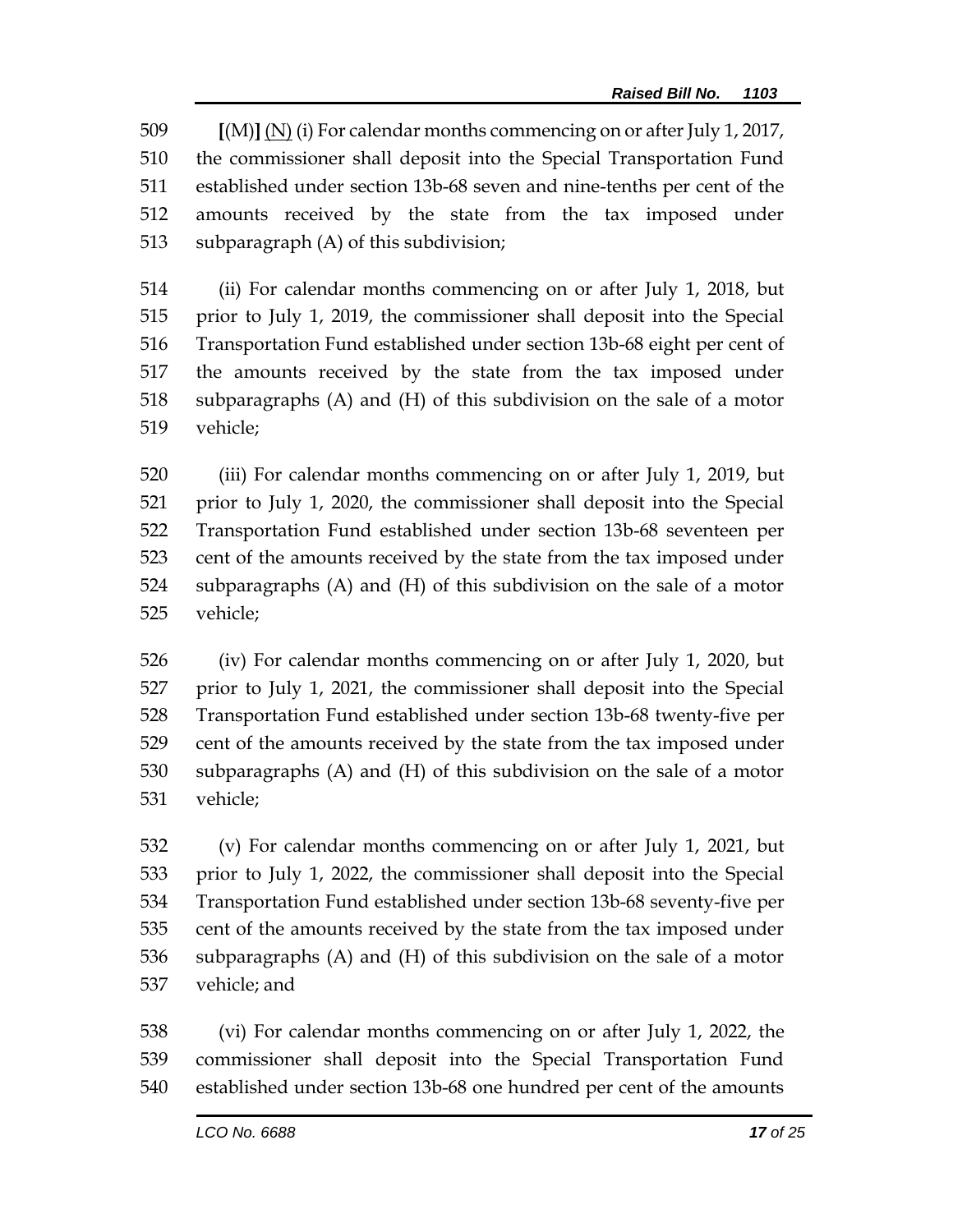**[**(M)**]** (N) (i) For calendar months commencing on or after July 1, 2017, the commissioner shall deposit into the Special Transportation Fund established under section 13b-68 seven and nine-tenths per cent of the amounts received by the state from the tax imposed under subparagraph (A) of this subdivision;

 (ii) For calendar months commencing on or after July 1, 2018, but prior to July 1, 2019, the commissioner shall deposit into the Special Transportation Fund established under section 13b-68 eight per cent of the amounts received by the state from the tax imposed under subparagraphs (A) and (H) of this subdivision on the sale of a motor vehicle;

 (iii) For calendar months commencing on or after July 1, 2019, but prior to July 1, 2020, the commissioner shall deposit into the Special Transportation Fund established under section 13b-68 seventeen per cent of the amounts received by the state from the tax imposed under subparagraphs (A) and (H) of this subdivision on the sale of a motor vehicle;

 (iv) For calendar months commencing on or after July 1, 2020, but prior to July 1, 2021, the commissioner shall deposit into the Special Transportation Fund established under section 13b-68 twenty-five per cent of the amounts received by the state from the tax imposed under subparagraphs (A) and (H) of this subdivision on the sale of a motor vehicle;

 (v) For calendar months commencing on or after July 1, 2021, but prior to July 1, 2022, the commissioner shall deposit into the Special Transportation Fund established under section 13b-68 seventy-five per cent of the amounts received by the state from the tax imposed under subparagraphs (A) and (H) of this subdivision on the sale of a motor vehicle; and

 (vi) For calendar months commencing on or after July 1, 2022, the commissioner shall deposit into the Special Transportation Fund established under section 13b-68 one hundred per cent of the amounts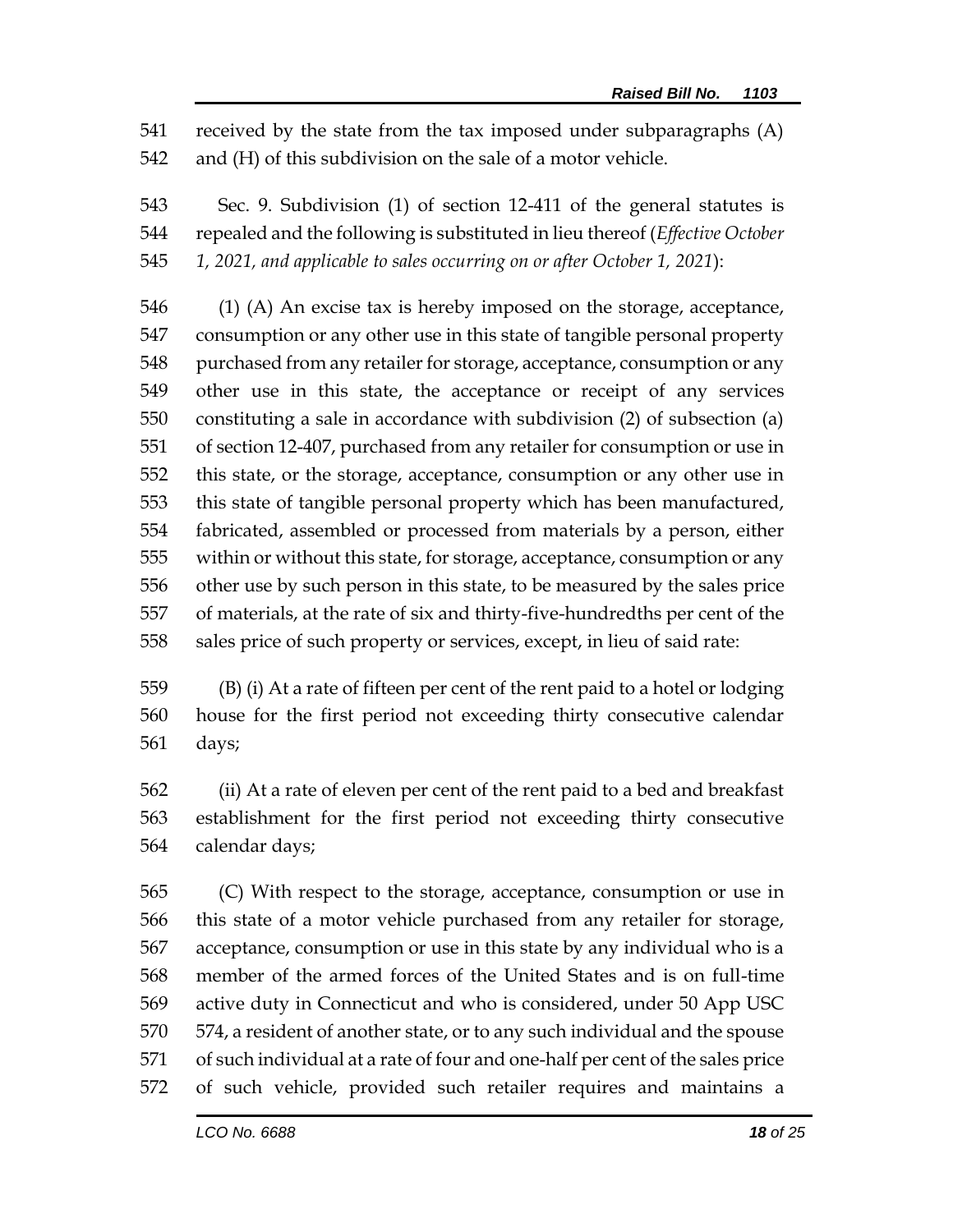received by the state from the tax imposed under subparagraphs (A) and (H) of this subdivision on the sale of a motor vehicle.

 Sec. 9. Subdivision (1) of section 12-411 of the general statutes is repealed and the following is substituted in lieu thereof (*Effective October 1, 2021, and applicable to sales occurring on or after October 1, 2021*):

 (1) (A) An excise tax is hereby imposed on the storage, acceptance, consumption or any other use in this state of tangible personal property purchased from any retailer for storage, acceptance, consumption or any other use in this state, the acceptance or receipt of any services constituting a sale in accordance with subdivision (2) of subsection (a) of section 12-407, purchased from any retailer for consumption or use in this state, or the storage, acceptance, consumption or any other use in this state of tangible personal property which has been manufactured, fabricated, assembled or processed from materials by a person, either within or without this state, for storage, acceptance, consumption or any other use by such person in this state, to be measured by the sales price of materials, at the rate of six and thirty-five-hundredths per cent of the sales price of such property or services, except, in lieu of said rate:

 (B) (i) At a rate of fifteen per cent of the rent paid to a hotel or lodging house for the first period not exceeding thirty consecutive calendar days;

 (ii) At a rate of eleven per cent of the rent paid to a bed and breakfast establishment for the first period not exceeding thirty consecutive calendar days;

 (C) With respect to the storage, acceptance, consumption or use in this state of a motor vehicle purchased from any retailer for storage, acceptance, consumption or use in this state by any individual who is a member of the armed forces of the United States and is on full-time active duty in Connecticut and who is considered, under 50 App USC 574, a resident of another state, or to any such individual and the spouse of such individual at a rate of four and one-half per cent of the sales price of such vehicle, provided such retailer requires and maintains a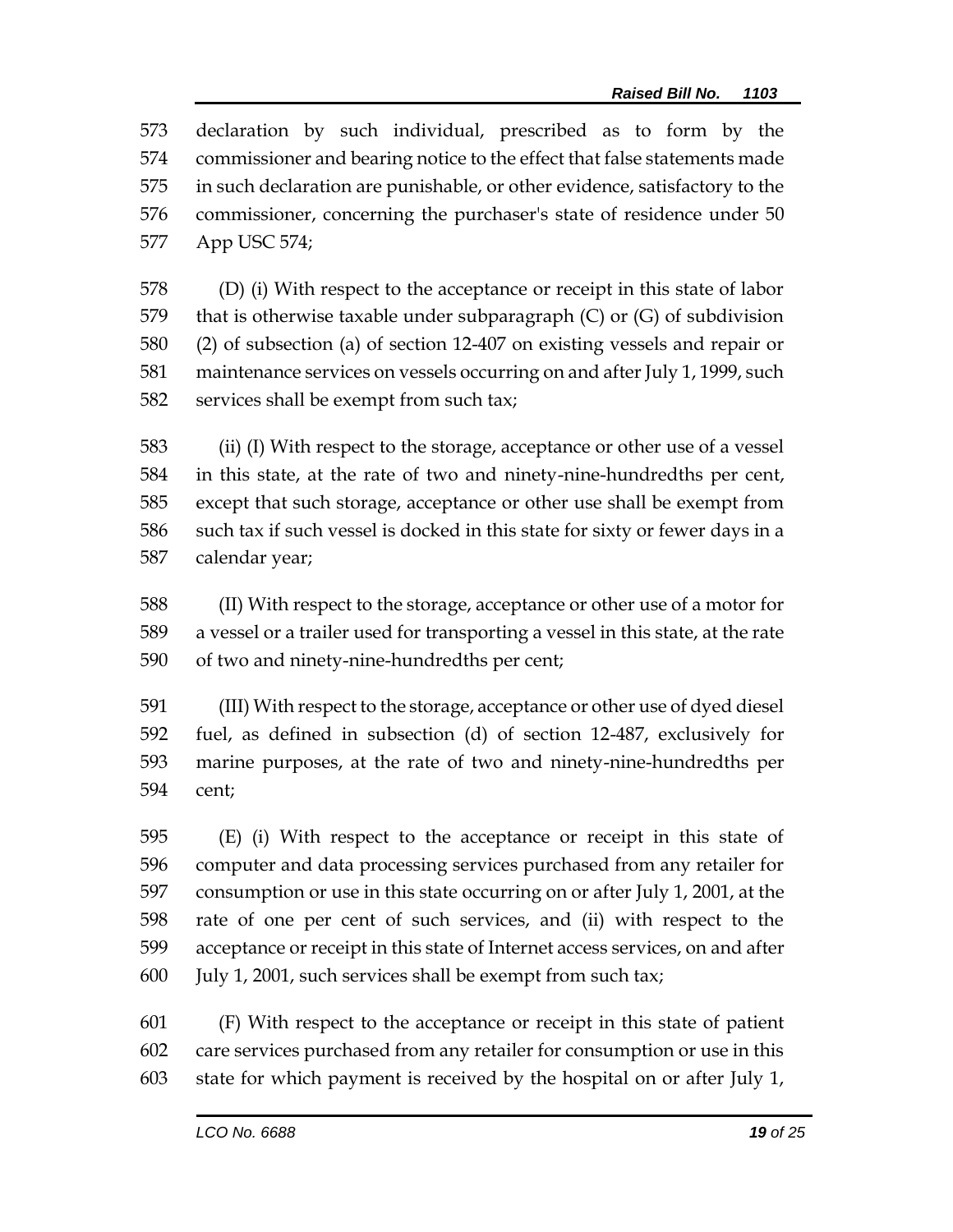declaration by such individual, prescribed as to form by the commissioner and bearing notice to the effect that false statements made in such declaration are punishable, or other evidence, satisfactory to the commissioner, concerning the purchaser's state of residence under 50 App USC 574;

 (D) (i) With respect to the acceptance or receipt in this state of labor that is otherwise taxable under subparagraph (C) or (G) of subdivision (2) of subsection (a) of section 12-407 on existing vessels and repair or maintenance services on vessels occurring on and after July 1, 1999, such services shall be exempt from such tax;

 (ii) (I) With respect to the storage, acceptance or other use of a vessel in this state, at the rate of two and ninety-nine-hundredths per cent, except that such storage, acceptance or other use shall be exempt from such tax if such vessel is docked in this state for sixty or fewer days in a calendar year;

 (II) With respect to the storage, acceptance or other use of a motor for a vessel or a trailer used for transporting a vessel in this state, at the rate of two and ninety-nine-hundredths per cent;

 (III) With respect to the storage, acceptance or other use of dyed diesel fuel, as defined in subsection (d) of section 12-487, exclusively for marine purposes, at the rate of two and ninety-nine-hundredths per cent;

 (E) (i) With respect to the acceptance or receipt in this state of computer and data processing services purchased from any retailer for consumption or use in this state occurring on or after July 1, 2001, at the rate of one per cent of such services, and (ii) with respect to the acceptance or receipt in this state of Internet access services, on and after July 1, 2001, such services shall be exempt from such tax;

 (F) With respect to the acceptance or receipt in this state of patient care services purchased from any retailer for consumption or use in this state for which payment is received by the hospital on or after July 1,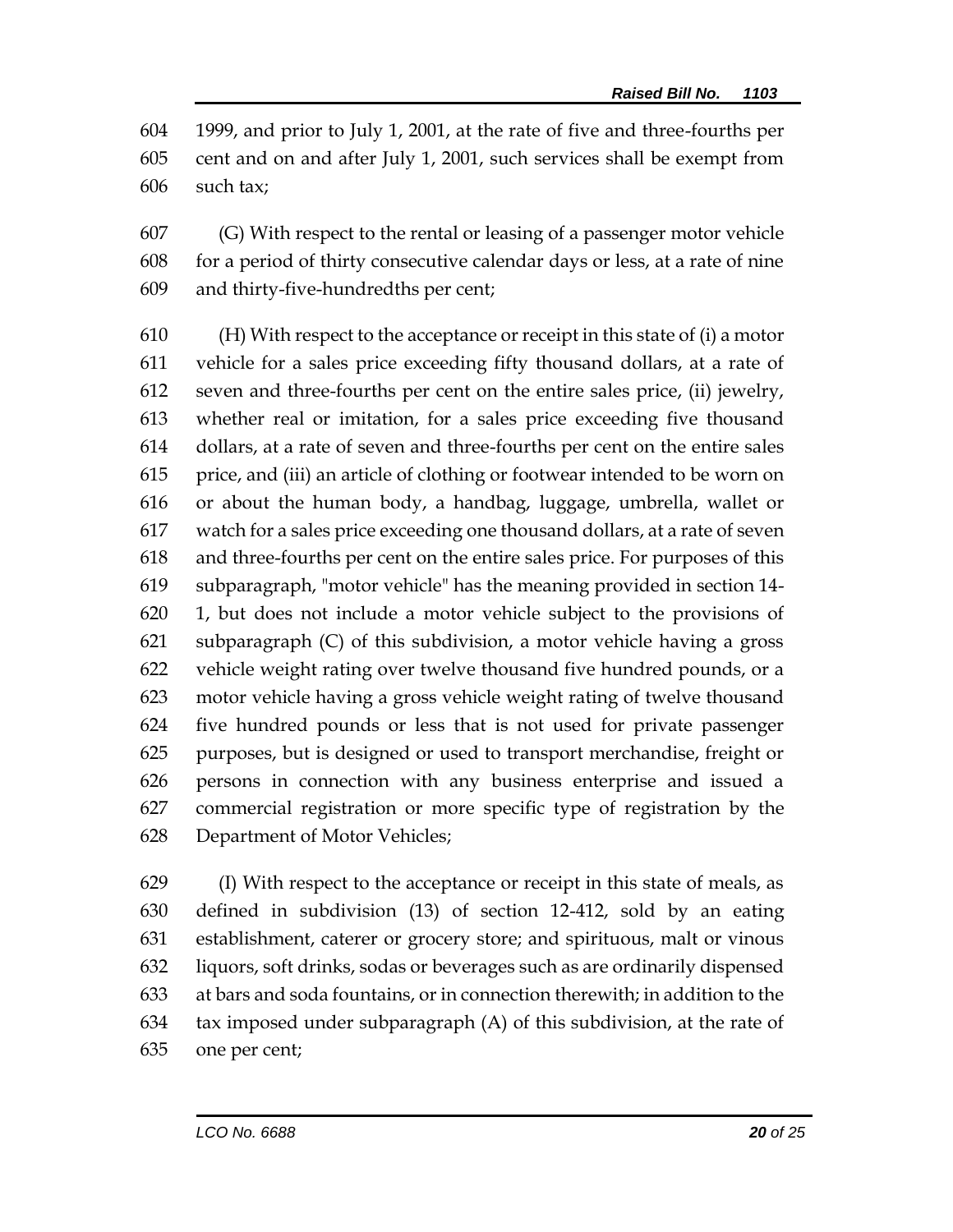1999, and prior to July 1, 2001, at the rate of five and three-fourths per cent and on and after July 1, 2001, such services shall be exempt from such tax;

 (G) With respect to the rental or leasing of a passenger motor vehicle for a period of thirty consecutive calendar days or less, at a rate of nine and thirty-five-hundredths per cent;

 (H) With respect to the acceptance or receipt in this state of (i) a motor vehicle for a sales price exceeding fifty thousand dollars, at a rate of seven and three-fourths per cent on the entire sales price, (ii) jewelry, whether real or imitation, for a sales price exceeding five thousand dollars, at a rate of seven and three-fourths per cent on the entire sales price, and (iii) an article of clothing or footwear intended to be worn on or about the human body, a handbag, luggage, umbrella, wallet or watch for a sales price exceeding one thousand dollars, at a rate of seven and three-fourths per cent on the entire sales price. For purposes of this subparagraph, "motor vehicle" has the meaning provided in section 14- 1, but does not include a motor vehicle subject to the provisions of subparagraph (C) of this subdivision, a motor vehicle having a gross vehicle weight rating over twelve thousand five hundred pounds, or a motor vehicle having a gross vehicle weight rating of twelve thousand five hundred pounds or less that is not used for private passenger purposes, but is designed or used to transport merchandise, freight or persons in connection with any business enterprise and issued a commercial registration or more specific type of registration by the Department of Motor Vehicles;

 (I) With respect to the acceptance or receipt in this state of meals, as defined in subdivision (13) of section 12-412, sold by an eating establishment, caterer or grocery store; and spirituous, malt or vinous liquors, soft drinks, sodas or beverages such as are ordinarily dispensed at bars and soda fountains, or in connection therewith; in addition to the tax imposed under subparagraph (A) of this subdivision, at the rate of one per cent;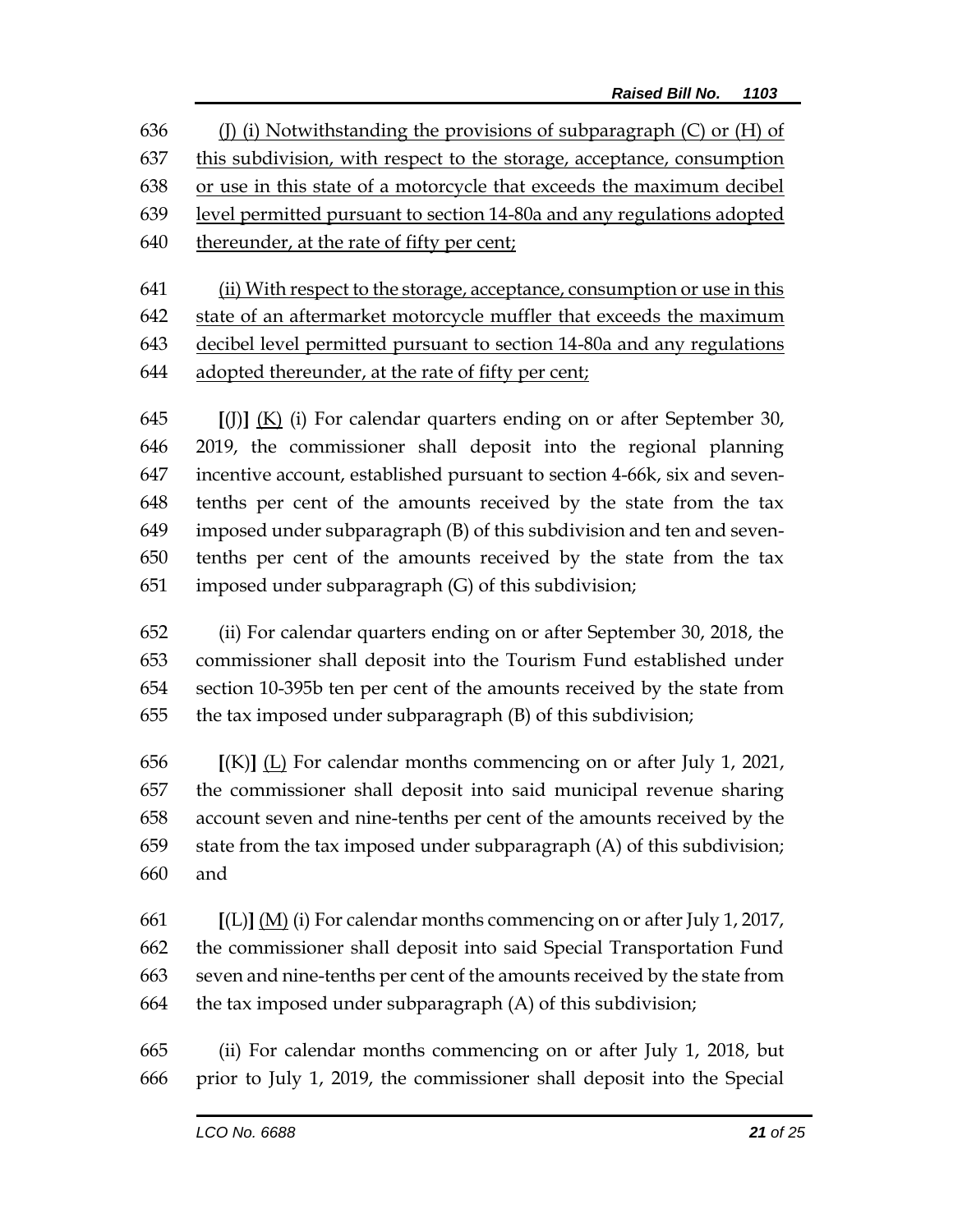636 (J) (i) Notwithstanding the provisions of subparagraph  $(C)$  or  $(H)$  of this subdivision, with respect to the storage, acceptance, consumption or use in this state of a motorcycle that exceeds the maximum decibel level permitted pursuant to section 14-80a and any regulations adopted thereunder, at the rate of fifty per cent;

 (ii) With respect to the storage, acceptance, consumption or use in this 642 state of an aftermarket motorcycle muffler that exceeds the maximum decibel level permitted pursuant to section 14-80a and any regulations adopted thereunder, at the rate of fifty per cent;

 **[**(J)**]** (K) (i) For calendar quarters ending on or after September 30, 2019, the commissioner shall deposit into the regional planning incentive account, established pursuant to section 4-66k, six and seven- tenths per cent of the amounts received by the state from the tax imposed under subparagraph (B) of this subdivision and ten and seven- tenths per cent of the amounts received by the state from the tax imposed under subparagraph (G) of this subdivision;

 (ii) For calendar quarters ending on or after September 30, 2018, the commissioner shall deposit into the Tourism Fund established under section 10-395b ten per cent of the amounts received by the state from the tax imposed under subparagraph (B) of this subdivision;

 **[**(K)**]** (L) For calendar months commencing on or after July 1, 2021, the commissioner shall deposit into said municipal revenue sharing account seven and nine-tenths per cent of the amounts received by the state from the tax imposed under subparagraph (A) of this subdivision; and

 **[**(L)**]** (M) (i) For calendar months commencing on or after July 1, 2017, the commissioner shall deposit into said Special Transportation Fund seven and nine-tenths per cent of the amounts received by the state from 664 the tax imposed under subparagraph  $(A)$  of this subdivision;

 (ii) For calendar months commencing on or after July 1, 2018, but prior to July 1, 2019, the commissioner shall deposit into the Special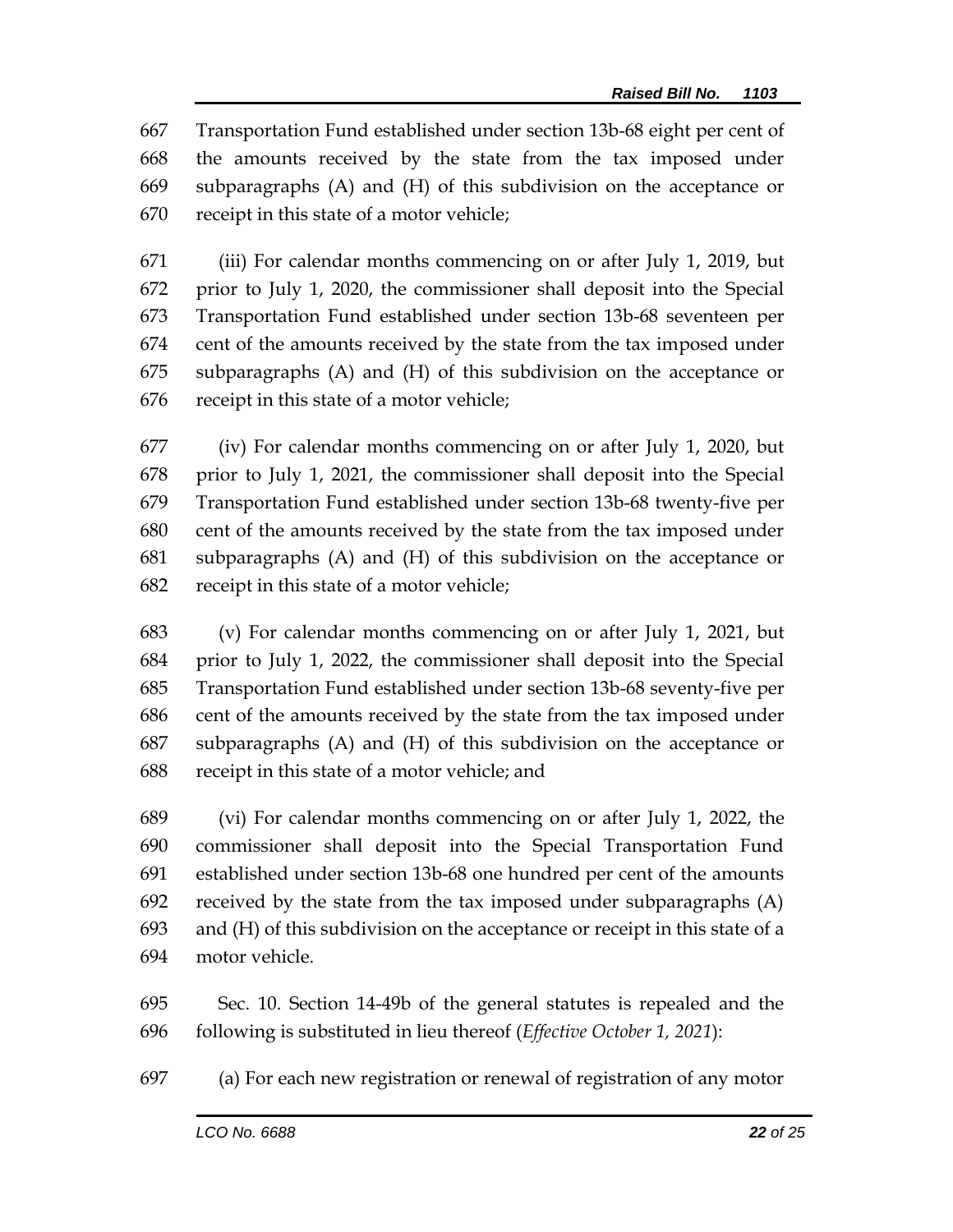Transportation Fund established under section 13b-68 eight per cent of the amounts received by the state from the tax imposed under subparagraphs (A) and (H) of this subdivision on the acceptance or receipt in this state of a motor vehicle;

 (iii) For calendar months commencing on or after July 1, 2019, but prior to July 1, 2020, the commissioner shall deposit into the Special Transportation Fund established under section 13b-68 seventeen per cent of the amounts received by the state from the tax imposed under subparagraphs (A) and (H) of this subdivision on the acceptance or receipt in this state of a motor vehicle;

 (iv) For calendar months commencing on or after July 1, 2020, but prior to July 1, 2021, the commissioner shall deposit into the Special Transportation Fund established under section 13b-68 twenty-five per cent of the amounts received by the state from the tax imposed under subparagraphs (A) and (H) of this subdivision on the acceptance or receipt in this state of a motor vehicle;

 (v) For calendar months commencing on or after July 1, 2021, but prior to July 1, 2022, the commissioner shall deposit into the Special Transportation Fund established under section 13b-68 seventy-five per cent of the amounts received by the state from the tax imposed under subparagraphs (A) and (H) of this subdivision on the acceptance or receipt in this state of a motor vehicle; and

 (vi) For calendar months commencing on or after July 1, 2022, the commissioner shall deposit into the Special Transportation Fund established under section 13b-68 one hundred per cent of the amounts received by the state from the tax imposed under subparagraphs (A) and (H) of this subdivision on the acceptance or receipt in this state of a motor vehicle.

 Sec. 10. Section 14-49b of the general statutes is repealed and the following is substituted in lieu thereof (*Effective October 1, 2021*):

(a) For each new registration or renewal of registration of any motor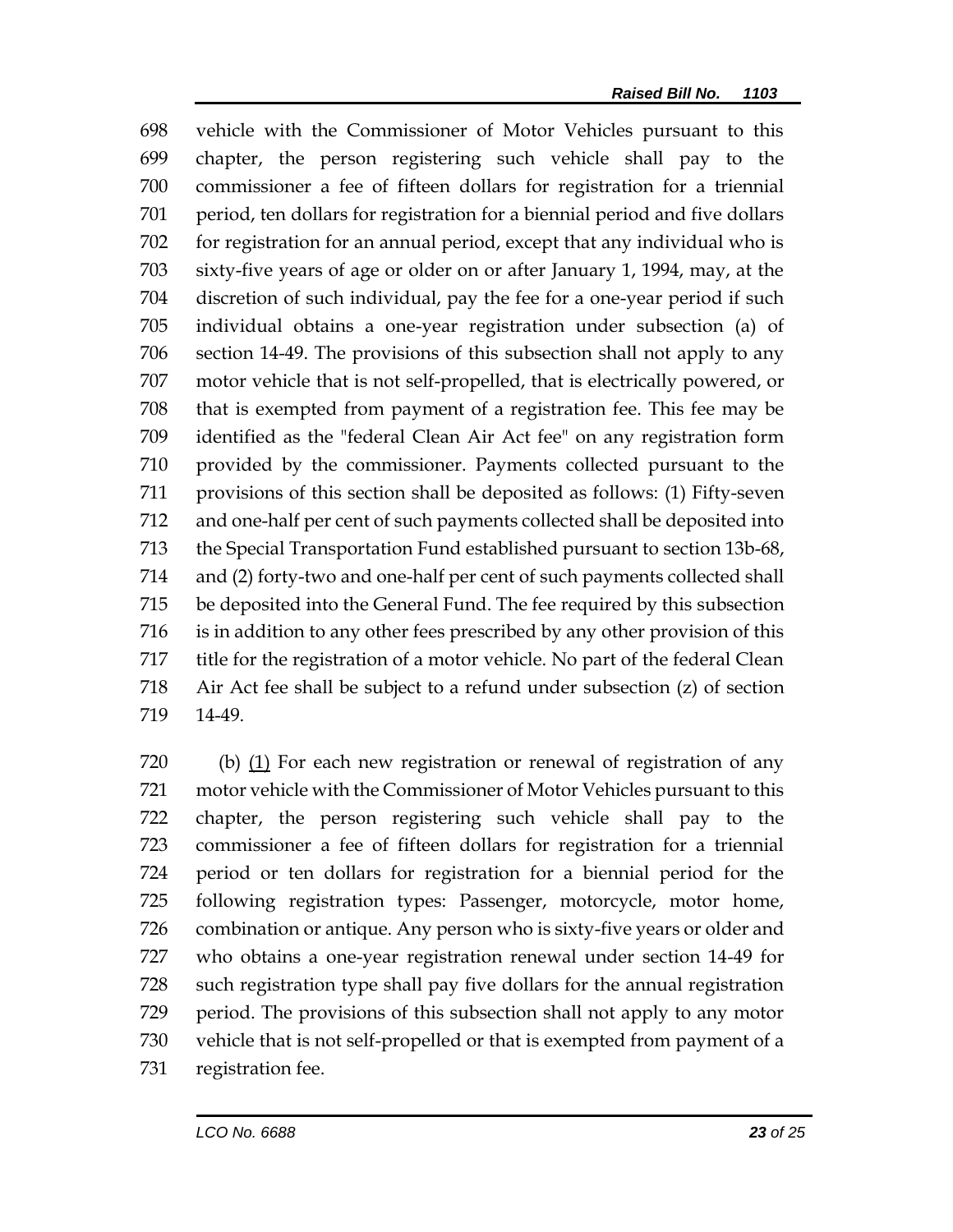vehicle with the Commissioner of Motor Vehicles pursuant to this chapter, the person registering such vehicle shall pay to the commissioner a fee of fifteen dollars for registration for a triennial period, ten dollars for registration for a biennial period and five dollars for registration for an annual period, except that any individual who is sixty-five years of age or older on or after January 1, 1994, may, at the discretion of such individual, pay the fee for a one-year period if such individual obtains a one-year registration under subsection (a) of section 14-49. The provisions of this subsection shall not apply to any motor vehicle that is not self-propelled, that is electrically powered, or that is exempted from payment of a registration fee. This fee may be identified as the "federal Clean Air Act fee" on any registration form provided by the commissioner. Payments collected pursuant to the provisions of this section shall be deposited as follows: (1) Fifty-seven and one-half per cent of such payments collected shall be deposited into the Special Transportation Fund established pursuant to section 13b-68, and (2) forty-two and one-half per cent of such payments collected shall be deposited into the General Fund. The fee required by this subsection is in addition to any other fees prescribed by any other provision of this title for the registration of a motor vehicle. No part of the federal Clean Air Act fee shall be subject to a refund under subsection (z) of section 14-49.

 (b) (1) For each new registration or renewal of registration of any motor vehicle with the Commissioner of Motor Vehicles pursuant to this chapter, the person registering such vehicle shall pay to the commissioner a fee of fifteen dollars for registration for a triennial period or ten dollars for registration for a biennial period for the following registration types: Passenger, motorcycle, motor home, combination or antique. Any person who is sixty-five years or older and who obtains a one-year registration renewal under section 14-49 for such registration type shall pay five dollars for the annual registration period. The provisions of this subsection shall not apply to any motor vehicle that is not self-propelled or that is exempted from payment of a registration fee.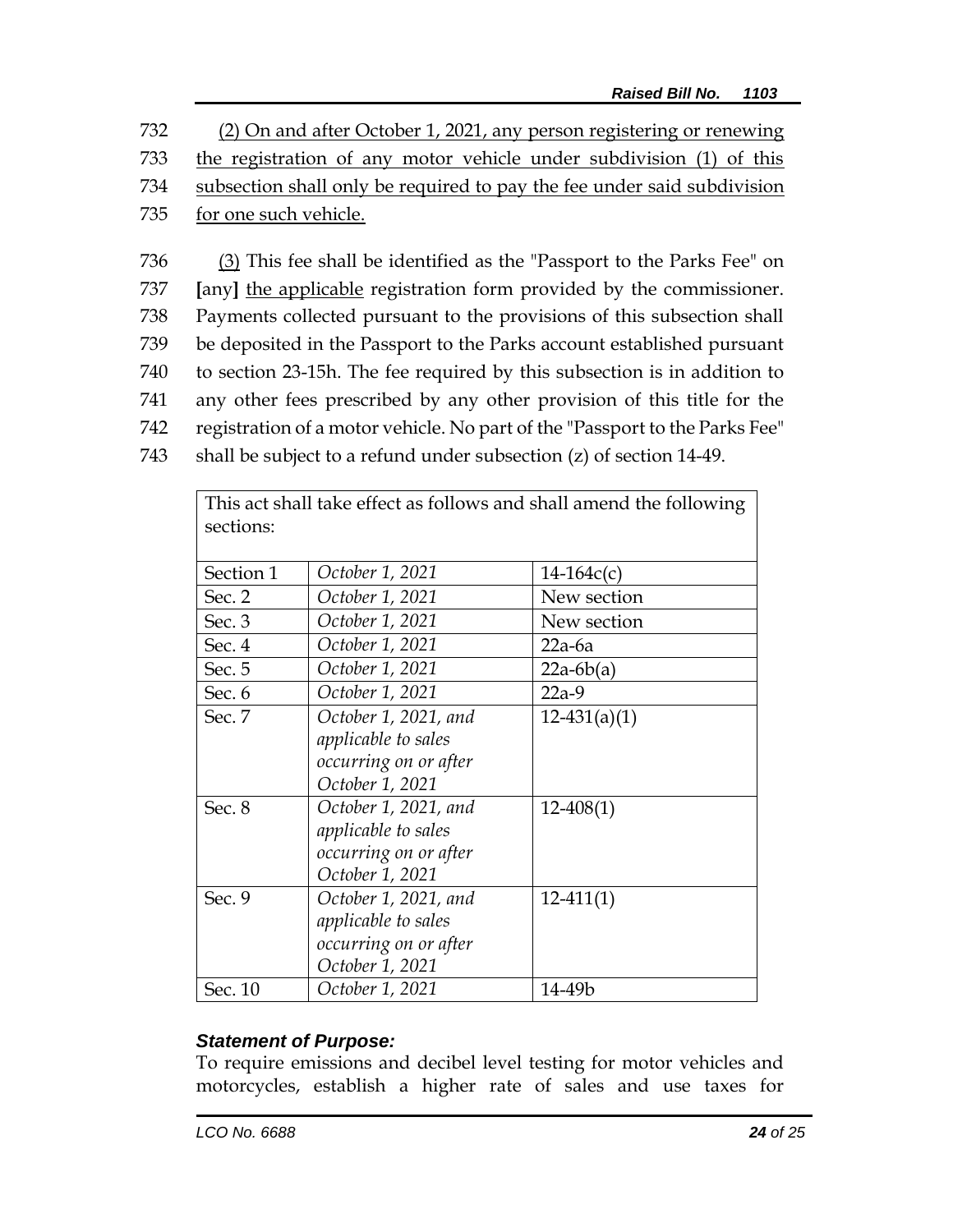(2) On and after October 1, 2021, any person registering or renewing the registration of any motor vehicle under subdivision (1) of this subsection shall only be required to pay the fee under said subdivision for one such vehicle.

736 (3) This fee shall be identified as the "Passport to the Parks Fee" on **[**any**]** the applicable registration form provided by the commissioner. Payments collected pursuant to the provisions of this subsection shall be deposited in the Passport to the Parks account established pursuant to section 23-15h. The fee required by this subsection is in addition to any other fees prescribed by any other provision of this title for the registration of a motor vehicle. No part of the "Passport to the Parks Fee" shall be subject to a refund under subsection (z) of section 14-49.

| This act shall take effect as follows and shall amend the following |                       |                |
|---------------------------------------------------------------------|-----------------------|----------------|
| sections:                                                           |                       |                |
|                                                                     |                       |                |
| Section 1                                                           | October 1, 2021       | $14-164c(c)$   |
| Sec. 2                                                              | October 1, 2021       | New section    |
| Sec. 3                                                              | October 1, 2021       | New section    |
| Sec. 4                                                              | October 1, 2021       | $22a-6a$       |
| Sec. 5                                                              | October 1, 2021       | $22a-6b(a)$    |
| Sec. 6                                                              | October 1, 2021       | $22a-9$        |
| Sec. 7                                                              | October 1, 2021, and  | $12-431(a)(1)$ |
|                                                                     | applicable to sales   |                |
|                                                                     | occurring on or after |                |
|                                                                     | October 1, 2021       |                |
| Sec. 8                                                              | October 1, 2021, and  | $12-408(1)$    |
|                                                                     | applicable to sales   |                |
|                                                                     | occurring on or after |                |
|                                                                     | October 1, 2021       |                |
| Sec. 9                                                              | October 1, 2021, and  | $12-411(1)$    |
|                                                                     | applicable to sales   |                |
|                                                                     | occurring on or after |                |
|                                                                     | October 1, 2021       |                |
| Sec. 10                                                             | October 1, 2021       | 14-49b         |

## *Statement of Purpose:*

To require emissions and decibel level testing for motor vehicles and motorcycles, establish a higher rate of sales and use taxes for